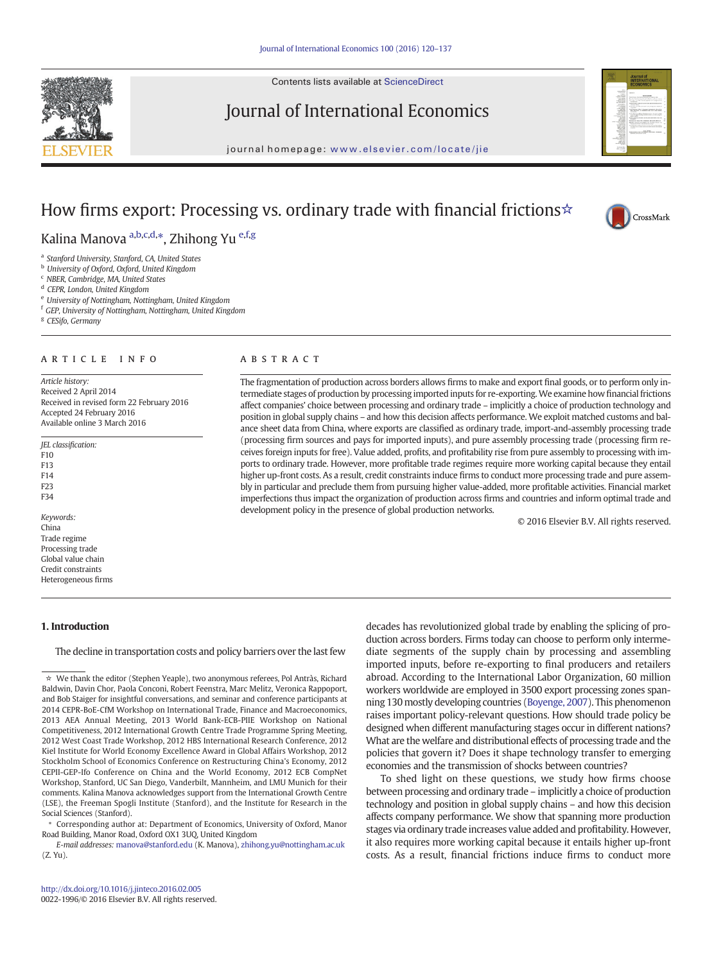Contents lists available at ScienceDirect



# Journal of International Economics



journal homepage: <www.elsevier.com/locate/jie>

# How firms export: Processing vs. ordinary trade with financial frictions  $\star$



Kalina Manova <sup>a,b,c,d,\*</sup>, Zhihong Yu <sup>e,f,g</sup>

<sup>a</sup> Stanford University, Stanford, CA, United States

**b** University of Oxford, Oxford, United Kingdom

<sup>c</sup> NBER, Cambridge, MA, United States

<sup>d</sup> CEPR, London, United Kingdom

<sup>e</sup> University of Nottingham, Nottingham, United Kingdom

<sup>f</sup> GEP, University of Nottingham, Nottingham, United Kingdom

<sup>g</sup> CESifo, Germany

# article info abstract

Article history: Received 2 April 2014 Received in revised form 22 February 2016 Accepted 24 February 2016 Available online 3 March 2016

JEL classification: F10 F13 F14 F23 F34 Keywords: China Trade regime Processing trade Global value chain Credit constraints

# 1. Introduction

Heterogeneous firms

The decline in transportation costs and policy barriers over the last few

The fragmentation of production across borders allows firms to make and export final goods, or to perform only intermediate stages of production by processing imported inputs for re-exporting.We examine how financial frictions affect companies' choice between processing and ordinary trade – implicitly a choice of production technology and position in global supply chains – and how this decision affects performance. We exploit matched customs and balance sheet data from China, where exports are classified as ordinary trade, import-and-assembly processing trade (processing firm sources and pays for imported inputs), and pure assembly processing trade (processing firm receives foreign inputs for free). Value added, profits, and profitability rise from pure assembly to processing with imports to ordinary trade. However, more profitable trade regimes require more working capital because they entail higher up-front costs. As a result, credit constraints induce firms to conduct more processing trade and pure assembly in particular and preclude them from pursuing higher value-added, more profitable activities. Financial market imperfections thus impact the organization of production across firms and countries and inform optimal trade and development policy in the presence of global production networks.

© 2016 Elsevier B.V. All rights reserved.

decades has revolutionized global trade by enabling the splicing of production across borders. Firms today can choose to perform only intermediate segments of the supply chain by processing and assembling imported inputs, before re-exporting to final producers and retailers abroad. According to the International Labor Organization, 60 million workers worldwide are employed in 3500 export processing zones spanning 130 mostly developing countries [\(Boyenge, 2007](#page-16-0)). This phenomenon raises important policy-relevant questions. How should trade policy be designed when different manufacturing stages occur in different nations? What are the welfare and distributional effects of processing trade and the policies that govern it? Does it shape technology transfer to emerging economies and the transmission of shocks between countries?

To shed light on these questions, we study how firms choose between processing and ordinary trade – implicitly a choice of production technology and position in global supply chains – and how this decision affects company performance. We show that spanning more production stages via ordinary trade increases value added and profitability. However, it also requires more working capital because it entails higher up-front costs. As a result, financial frictions induce firms to conduct more

<sup>☆</sup> We thank the editor (Stephen Yeaple), two anonymous referees, Pol Antràs, Richard Baldwin, Davin Chor, Paola Conconi, Robert Feenstra, Marc Melitz, Veronica Rappoport, and Bob Staiger for insightful conversations, and seminar and conference participants at 2014 CEPR-BoE-CfM Workshop on International Trade, Finance and Macroeconomics, 2013 AEA Annual Meeting, 2013 World Bank-ECB-PIIE Workshop on National Competitiveness, 2012 International Growth Centre Trade Programme Spring Meeting, 2012 West Coast Trade Workshop, 2012 HBS International Research Conference, 2012 Kiel Institute for World Economy Excellence Award in Global Affairs Workshop, 2012 Stockholm School of Economics Conference on Restructuring China's Economy, 2012 CEPII-GEP-Ifo Conference on China and the World Economy, 2012 ECB CompNet Workshop, Stanford, UC San Diego, Vanderbilt, Mannheim, and LMU Munich for their comments. Kalina Manova acknowledges support from the International Growth Centre (LSE), the Freeman Spogli Institute (Stanford), and the Institute for Research in the Social Sciences (Stanford).

<sup>⁎</sup> Corresponding author at: Department of Economics, University of Oxford, Manor Road Building, Manor Road, Oxford OX1 3UQ, United Kingdom

E-mail addresses: manova@stanford.edu (K. Manova), [zhihong.yu@nottingham.ac.uk](mailto:zhihong.yu@nottingham.ac.uk) (Z. Yu).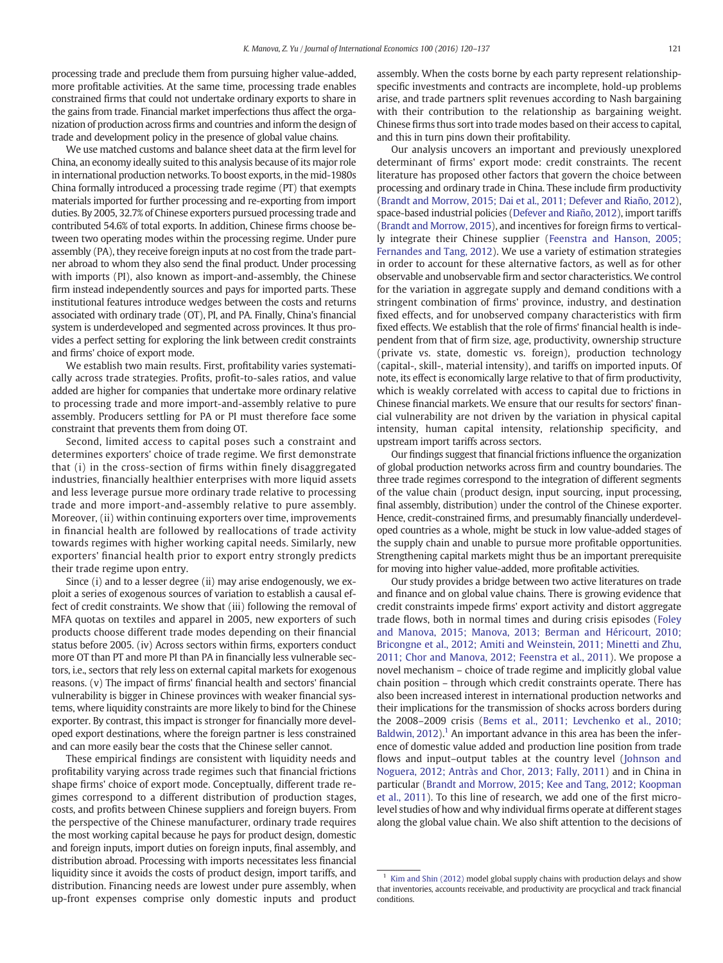processing trade and preclude them from pursuing higher value-added, more profitable activities. At the same time, processing trade enables constrained firms that could not undertake ordinary exports to share in the gains from trade. Financial market imperfections thus affect the organization of production across firms and countries and inform the design of trade and development policy in the presence of global value chains.

We use matched customs and balance sheet data at the firm level for China, an economy ideally suited to this analysis because of its major role in international production networks. To boost exports, in the mid-1980s China formally introduced a processing trade regime (PT) that exempts materials imported for further processing and re-exporting from import duties. By 2005, 32.7% of Chinese exporters pursued processing trade and contributed 54.6% of total exports. In addition, Chinese firms choose between two operating modes within the processing regime. Under pure assembly (PA), they receive foreign inputs at no cost from the trade partner abroad to whom they also send the final product. Under processing with imports (PI), also known as import-and-assembly, the Chinese firm instead independently sources and pays for imported parts. These institutional features introduce wedges between the costs and returns associated with ordinary trade (OT), PI, and PA. Finally, China's financial system is underdeveloped and segmented across provinces. It thus provides a perfect setting for exploring the link between credit constraints and firms' choice of export mode.

We establish two main results. First, profitability varies systematically across trade strategies. Profits, profit-to-sales ratios, and value added are higher for companies that undertake more ordinary relative to processing trade and more import-and-assembly relative to pure assembly. Producers settling for PA or PI must therefore face some constraint that prevents them from doing OT.

Second, limited access to capital poses such a constraint and determines exporters' choice of trade regime. We first demonstrate that (i) in the cross-section of firms within finely disaggregated industries, financially healthier enterprises with more liquid assets and less leverage pursue more ordinary trade relative to processing trade and more import-and-assembly relative to pure assembly. Moreover, (ii) within continuing exporters over time, improvements in financial health are followed by reallocations of trade activity towards regimes with higher working capital needs. Similarly, new exporters' financial health prior to export entry strongly predicts their trade regime upon entry.

Since (i) and to a lesser degree (ii) may arise endogenously, we exploit a series of exogenous sources of variation to establish a causal effect of credit constraints. We show that (iii) following the removal of MFA quotas on textiles and apparel in 2005, new exporters of such products choose different trade modes depending on their financial status before 2005. (iv) Across sectors within firms, exporters conduct more OT than PT and more PI than PA in financially less vulnerable sectors, i.e., sectors that rely less on external capital markets for exogenous reasons. (v) The impact of firms' financial health and sectors' financial vulnerability is bigger in Chinese provinces with weaker financial systems, where liquidity constraints are more likely to bind for the Chinese exporter. By contrast, this impact is stronger for financially more developed export destinations, where the foreign partner is less constrained and can more easily bear the costs that the Chinese seller cannot.

These empirical findings are consistent with liquidity needs and profitability varying across trade regimes such that financial frictions shape firms' choice of export mode. Conceptually, different trade regimes correspond to a different distribution of production stages, costs, and profits between Chinese suppliers and foreign buyers. From the perspective of the Chinese manufacturer, ordinary trade requires the most working capital because he pays for product design, domestic and foreign inputs, import duties on foreign inputs, final assembly, and distribution abroad. Processing with imports necessitates less financial liquidity since it avoids the costs of product design, import tariffs, and distribution. Financing needs are lowest under pure assembly, when up-front expenses comprise only domestic inputs and product assembly. When the costs borne by each party represent relationshipspecific investments and contracts are incomplete, hold-up problems arise, and trade partners split revenues according to Nash bargaining with their contribution to the relationship as bargaining weight. Chinese firms thus sort into trade modes based on their access to capital, and this in turn pins down their profitability.

Our analysis uncovers an important and previously unexplored determinant of firms' export mode: credit constraints. The recent literature has proposed other factors that govern the choice between processing and ordinary trade in China. These include firm productivity [\(Brandt and Morrow, 2015; Dai et al., 2011; Defever and Riaño, 2012](#page-16-0)), space-based industrial policies ([Defever and Riaño, 2012](#page-16-0)), import tariffs [\(Brandt and Morrow, 2015\)](#page-16-0), and incentives for foreign firms to vertically integrate their Chinese supplier ([Feenstra and Hanson, 2005;](#page-16-0) [Fernandes and Tang, 2012\)](#page-16-0). We use a variety of estimation strategies in order to account for these alternative factors, as well as for other observable and unobservable firm and sector characteristics. We control for the variation in aggregate supply and demand conditions with a stringent combination of firms' province, industry, and destination fixed effects, and for unobserved company characteristics with firm fixed effects. We establish that the role of firms' financial health is independent from that of firm size, age, productivity, ownership structure (private vs. state, domestic vs. foreign), production technology (capital-, skill-, material intensity), and tariffs on imported inputs. Of note, its effect is economically large relative to that of firm productivity, which is weakly correlated with access to capital due to frictions in Chinese financial markets. We ensure that our results for sectors' financial vulnerability are not driven by the variation in physical capital intensity, human capital intensity, relationship specificity, and upstream import tariffs across sectors.

Our findings suggest that financial frictions influence the organization of global production networks across firm and country boundaries. The three trade regimes correspond to the integration of different segments of the value chain (product design, input sourcing, input processing, final assembly, distribution) under the control of the Chinese exporter. Hence, credit-constrained firms, and presumably financially underdeveloped countries as a whole, might be stuck in low value-added stages of the supply chain and unable to pursue more profitable opportunities. Strengthening capital markets might thus be an important prerequisite for moving into higher value-added, more profitable activities.

Our study provides a bridge between two active literatures on trade and finance and on global value chains. There is growing evidence that credit constraints impede firms' export activity and distort aggregate trade flows, both in normal times and during crisis episodes [\(Foley](#page-16-0) [and Manova, 2015; Manova, 2013; Berman and Héricourt, 2010;](#page-16-0) [Bricongne et al., 2012; Amiti and Weinstein, 2011; Minetti and Zhu,](#page-16-0) [2011; Chor and Manova, 2012; Feenstra et al., 2011](#page-16-0)). We propose a novel mechanism – choice of trade regime and implicitly global value chain position – through which credit constraints operate. There has also been increased interest in international production networks and their implications for the transmission of shocks across borders during the 2008–2009 crisis [\(Bems et al., 2011; Levchenko et al., 2010;](#page-16-0) Baldwin,  $2012$ ).<sup>1</sup> An important advance in this area has been the inference of domestic value added and production line position from trade flows and input–output tables at the country level [\(Johnson and](#page-16-0) [Noguera, 2012; Antràs and Chor, 2013; Fally, 2011\)](#page-16-0) and in China in particular [\(Brandt and Morrow, 2015; Kee and Tang, 2012; Koopman](#page-16-0) [et al., 2011\)](#page-16-0). To this line of research, we add one of the first microlevel studies of how and why individual firms operate at different stages along the global value chain. We also shift attention to the decisions of

 $1$  [Kim and Shin \(2012\)](#page-16-0) model global supply chains with production delays and show that inventories, accounts receivable, and productivity are procyclical and track financial conditions.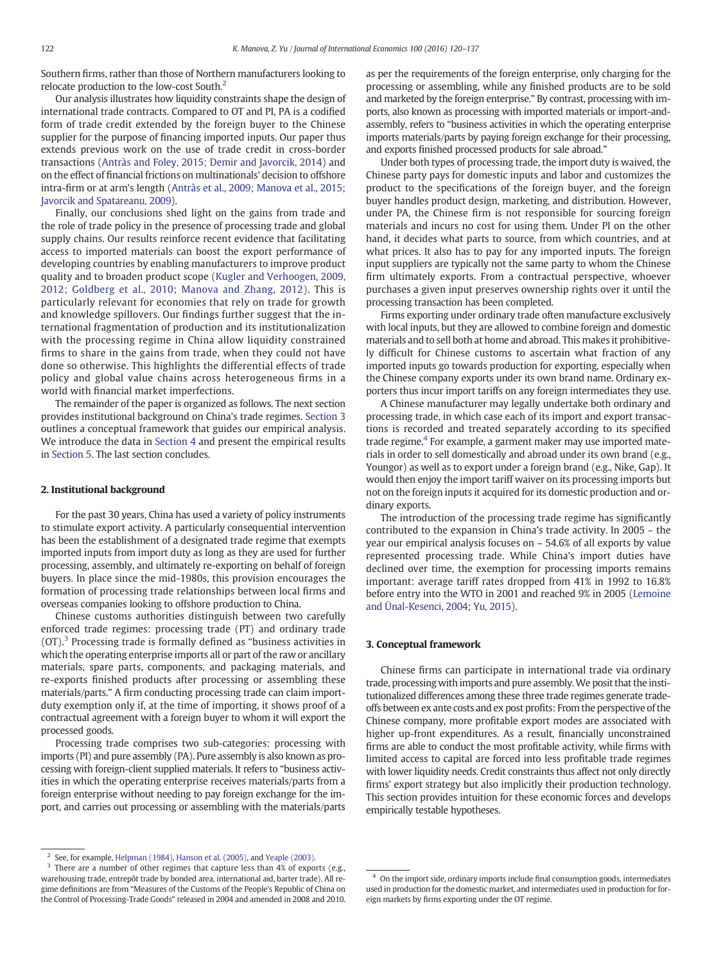<span id="page-2-0"></span>Southern firms, rather than those of Northern manufacturers looking to relocate production to the low-cost South.<sup>2</sup>

Our analysis illustrates how liquidity constraints shape the design of international trade contracts. Compared to OT and PI, PA is a codified form of trade credit extended by the foreign buyer to the Chinese supplier for the purpose of financing imported inputs. Our paper thus extends previous work on the use of trade credit in cross-border transactions [\(Antràs and Foley, 2015; Demir and Javorcik, 2014](#page-16-0)) and on the effect of financial frictions on multinationals' decision to offshore intra-firm or at arm's length [\(Antràs et al., 2009; Manova et al., 2015;](#page-16-0) [Javorcik and Spatareanu, 2009\)](#page-16-0).

Finally, our conclusions shed light on the gains from trade and the role of trade policy in the presence of processing trade and global supply chains. Our results reinforce recent evidence that facilitating access to imported materials can boost the export performance of developing countries by enabling manufacturers to improve product quality and to broaden product scope ([Kugler and Verhoogen, 2009,](#page-16-0) [2012; Goldberg et al., 2010; Manova and Zhang, 2012\)](#page-16-0). This is particularly relevant for economies that rely on trade for growth and knowledge spillovers. Our findings further suggest that the international fragmentation of production and its institutionalization with the processing regime in China allow liquidity constrained firms to share in the gains from trade, when they could not have done so otherwise. This highlights the differential effects of trade policy and global value chains across heterogeneous firms in a world with financial market imperfections.

The remainder of the paper is organized as follows. The next section provides institutional background on China's trade regimes. Section 3 outlines a conceptual framework that guides our empirical analysis. We introduce the data in [Section 4](#page-4-0) and present the empirical results in [Section 5](#page-7-0). The last section concludes.

# 2. Institutional background

For the past 30 years, China has used a variety of policy instruments to stimulate export activity. A particularly consequential intervention has been the establishment of a designated trade regime that exempts imported inputs from import duty as long as they are used for further processing, assembly, and ultimately re-exporting on behalf of foreign buyers. In place since the mid-1980s, this provision encourages the formation of processing trade relationships between local firms and overseas companies looking to offshore production to China.

Chinese customs authorities distinguish between two carefully enforced trade regimes: processing trade (PT) and ordinary trade  $(OT)^3$  Processing trade is formally defined as "business activities in which the operating enterprise imports all or part of the raw or ancillary materials, spare parts, components, and packaging materials, and re-exports finished products after processing or assembling these materials/parts." A firm conducting processing trade can claim importduty exemption only if, at the time of importing, it shows proof of a contractual agreement with a foreign buyer to whom it will export the processed goods.

Processing trade comprises two sub-categories: processing with imports (PI) and pure assembly (PA). Pure assembly is also known as processing with foreign-client supplied materials. It refers to "business activities in which the operating enterprise receives materials/parts from a foreign enterprise without needing to pay foreign exchange for the import, and carries out processing or assembling with the materials/parts as per the requirements of the foreign enterprise, only charging for the processing or assembling, while any finished products are to be sold and marketed by the foreign enterprise." By contrast, processing with imports, also known as processing with imported materials or import-andassembly, refers to "business activities in which the operating enterprise imports materials/parts by paying foreign exchange for their processing, and exports finished processed products for sale abroad."

Under both types of processing trade, the import duty is waived, the Chinese party pays for domestic inputs and labor and customizes the product to the specifications of the foreign buyer, and the foreign buyer handles product design, marketing, and distribution. However, under PA, the Chinese firm is not responsible for sourcing foreign materials and incurs no cost for using them. Under PI on the other hand, it decides what parts to source, from which countries, and at what prices. It also has to pay for any imported inputs. The foreign input suppliers are typically not the same party to whom the Chinese firm ultimately exports. From a contractual perspective, whoever purchases a given input preserves ownership rights over it until the processing transaction has been completed.

Firms exporting under ordinary trade often manufacture exclusively with local inputs, but they are allowed to combine foreign and domestic materials and to sell both at home and abroad. This makes it prohibitively difficult for Chinese customs to ascertain what fraction of any imported inputs go towards production for exporting, especially when the Chinese company exports under its own brand name. Ordinary exporters thus incur import tariffs on any foreign intermediates they use.

A Chinese manufacturer may legally undertake both ordinary and processing trade, in which case each of its import and export transactions is recorded and treated separately according to its specified trade regime.<sup>4</sup> For example, a garment maker may use imported materials in order to sell domestically and abroad under its own brand (e.g., Youngor) as well as to export under a foreign brand (e.g., Nike, Gap). It would then enjoy the import tariff waiver on its processing imports but not on the foreign inputs it acquired for its domestic production and ordinary exports.

The introduction of the processing trade regime has significantly contributed to the expansion in China's trade activity. In 2005 – the year our empirical analysis focuses on – 54.6% of all exports by value represented processing trade. While China's import duties have declined over time, the exemption for processing imports remains important: average tariff rates dropped from 41% in 1992 to 16.8% before entry into the WTO in 2001 and reached 9% in 2005 ([Lemoine](#page-16-0) [and Ünal-Kesenci, 2004; Yu, 2015](#page-16-0)).

# 3. Conceptual framework

Chinese firms can participate in international trade via ordinary trade, processing with imports and pure assembly.We posit that the institutionalized differences among these three trade regimes generate tradeoffs between ex ante costs and ex post profits: From the perspective of the Chinese company, more profitable export modes are associated with higher up-front expenditures. As a result, financially unconstrained firms are able to conduct the most profitable activity, while firms with limited access to capital are forced into less profitable trade regimes with lower liquidity needs. Credit constraints thus affect not only directly firms' export strategy but also implicitly their production technology. This section provides intuition for these economic forces and develops empirically testable hypotheses.

<sup>&</sup>lt;sup>2</sup> See, for example, [Helpman \(1984\)](#page-16-0), [Hanson et al. \(2005\)](#page-16-0), and [Yeaple \(2003\)](#page-17-0).

<sup>&</sup>lt;sup>3</sup> There are a number of other regimes that capture less than 4% of exports (e.g., warehousing trade, entrepôt trade by bonded area, international aid, barter trade). All regime definitions are from "Measures of the Customs of the People's Republic of China on the Control of Processing-Trade Goods" released in 2004 and amended in 2008 and 2010.

<sup>&</sup>lt;sup>4</sup> On the import side, ordinary imports include final consumption goods, intermediates used in production for the domestic market, and intermediates used in production for foreign markets by firms exporting under the OT regime.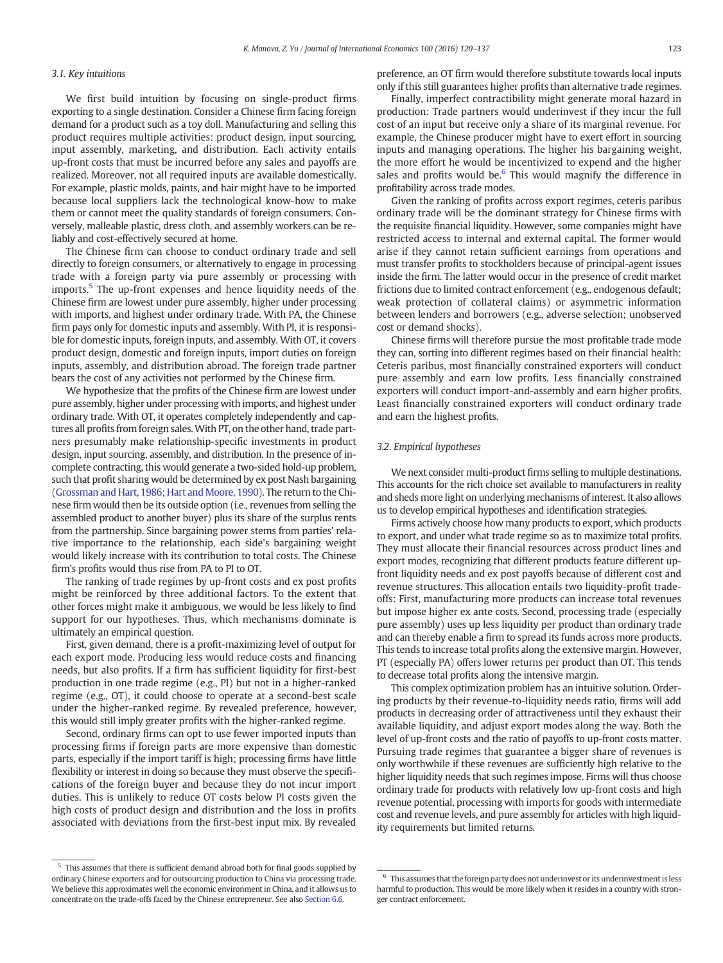# <span id="page-3-0"></span>3.1. Key intuitions

We first build intuition by focusing on single-product firms exporting to a single destination. Consider a Chinese firm facing foreign demand for a product such as a toy doll. Manufacturing and selling this product requires multiple activities: product design, input sourcing, input assembly, marketing, and distribution. Each activity entails up-front costs that must be incurred before any sales and payoffs are realized. Moreover, not all required inputs are available domestically. For example, plastic molds, paints, and hair might have to be imported because local suppliers lack the technological know-how to make them or cannot meet the quality standards of foreign consumers. Conversely, malleable plastic, dress cloth, and assembly workers can be reliably and cost-effectively secured at home.

The Chinese firm can choose to conduct ordinary trade and sell directly to foreign consumers, or alternatively to engage in processing trade with a foreign party via pure assembly or processing with imports.<sup>5</sup> The up-front expenses and hence liquidity needs of the Chinese firm are lowest under pure assembly, higher under processing with imports, and highest under ordinary trade. With PA, the Chinese firm pays only for domestic inputs and assembly. With PI, it is responsible for domestic inputs, foreign inputs, and assembly. With OT, it covers product design, domestic and foreign inputs, import duties on foreign inputs, assembly, and distribution abroad. The foreign trade partner bears the cost of any activities not performed by the Chinese firm.

We hypothesize that the profits of the Chinese firm are lowest under pure assembly, higher under processing with imports, and highest under ordinary trade. With OT, it operates completely independently and captures all profits from foreign sales. With PT, on the other hand, trade partners presumably make relationship-specific investments in product design, input sourcing, assembly, and distribution. In the presence of incomplete contracting, this would generate a two-sided hold-up problem, such that profit sharing would be determined by ex post Nash bargaining [\(Grossman and Hart, 1986; Hart and Moore, 1990\)](#page-16-0). The return to the Chinese firm would then be its outside option (i.e., revenues from selling the assembled product to another buyer) plus its share of the surplus rents from the partnership. Since bargaining power stems from parties' relative importance to the relationship, each side's bargaining weight would likely increase with its contribution to total costs. The Chinese firm's profits would thus rise from PA to PI to OT.

The ranking of trade regimes by up-front costs and ex post profits might be reinforced by three additional factors. To the extent that other forces might make it ambiguous, we would be less likely to find support for our hypotheses. Thus, which mechanisms dominate is ultimately an empirical question.

First, given demand, there is a profit-maximizing level of output for each export mode. Producing less would reduce costs and financing needs, but also profits. If a firm has sufficient liquidity for first-best production in one trade regime (e.g., PI) but not in a higher-ranked regime (e.g., OT), it could choose to operate at a second-best scale under the higher-ranked regime. By revealed preference, however, this would still imply greater profits with the higher-ranked regime.

Second, ordinary firms can opt to use fewer imported inputs than processing firms if foreign parts are more expensive than domestic parts, especially if the import tariff is high; processing firms have little flexibility or interest in doing so because they must observe the specifications of the foreign buyer and because they do not incur import duties. This is unlikely to reduce OT costs below PI costs given the high costs of product design and distribution and the loss in profits associated with deviations from the first-best input mix. By revealed preference, an OT firm would therefore substitute towards local inputs only if this still guarantees higher profits than alternative trade regimes.

Finally, imperfect contractibility might generate moral hazard in production: Trade partners would underinvest if they incur the full cost of an input but receive only a share of its marginal revenue. For example, the Chinese producer might have to exert effort in sourcing inputs and managing operations. The higher his bargaining weight, the more effort he would be incentivized to expend and the higher sales and profits would be.<sup>6</sup> This would magnify the difference in profitability across trade modes.

Given the ranking of profits across export regimes, ceteris paribus ordinary trade will be the dominant strategy for Chinese firms with the requisite financial liquidity. However, some companies might have restricted access to internal and external capital. The former would arise if they cannot retain sufficient earnings from operations and must transfer profits to stockholders because of principal-agent issues inside the firm. The latter would occur in the presence of credit market frictions due to limited contract enforcement (e.g., endogenous default; weak protection of collateral claims) or asymmetric information between lenders and borrowers (e.g., adverse selection; unobserved cost or demand shocks).

Chinese firms will therefore pursue the most profitable trade mode they can, sorting into different regimes based on their financial health: Ceteris paribus, most financially constrained exporters will conduct pure assembly and earn low profits. Less financially constrained exporters will conduct import-and-assembly and earn higher profits. Least financially constrained exporters will conduct ordinary trade and earn the highest profits.

# 3.2. Empirical hypotheses

We next consider multi-product firms selling to multiple destinations. This accounts for the rich choice set available to manufacturers in reality and sheds more light on underlying mechanisms of interest. It also allows us to develop empirical hypotheses and identification strategies.

Firms actively choose how many products to export, which products to export, and under what trade regime so as to maximize total profits. They must allocate their financial resources across product lines and export modes, recognizing that different products feature different upfront liquidity needs and ex post payoffs because of different cost and revenue structures. This allocation entails two liquidity-profit tradeoffs: First, manufacturing more products can increase total revenues but impose higher ex ante costs. Second, processing trade (especially pure assembly) uses up less liquidity per product than ordinary trade and can thereby enable a firm to spread its funds across more products. This tends to increase total profits along the extensive margin. However, PT (especially PA) offers lower returns per product than OT. This tends to decrease total profits along the intensive margin.

This complex optimization problem has an intuitive solution. Ordering products by their revenue-to-liquidity needs ratio, firms will add products in decreasing order of attractiveness until they exhaust their available liquidity, and adjust export modes along the way. Both the level of up-front costs and the ratio of payoffs to up-front costs matter. Pursuing trade regimes that guarantee a bigger share of revenues is only worthwhile if these revenues are sufficiently high relative to the higher liquidity needs that such regimes impose. Firms will thus choose ordinary trade for products with relatively low up-front costs and high revenue potential, processing with imports for goods with intermediate cost and revenue levels, and pure assembly for articles with high liquidity requirements but limited returns.

This assumes that there is sufficient demand abroad both for final goods supplied by ordinary Chinese exporters and for outsourcing production to China via processing trade. We believe this approximates well the economic environment in China, and it allows us to concentrate on the trade-offs faced by the Chinese entrepreneur. See also [Section 6.6](#page-15-0).

 $^{\rm 6}$  This assumes that the foreign party does not underinvest or its underinvestment is less harmful to production. This would be more likely when it resides in a country with stronger contract enforcement.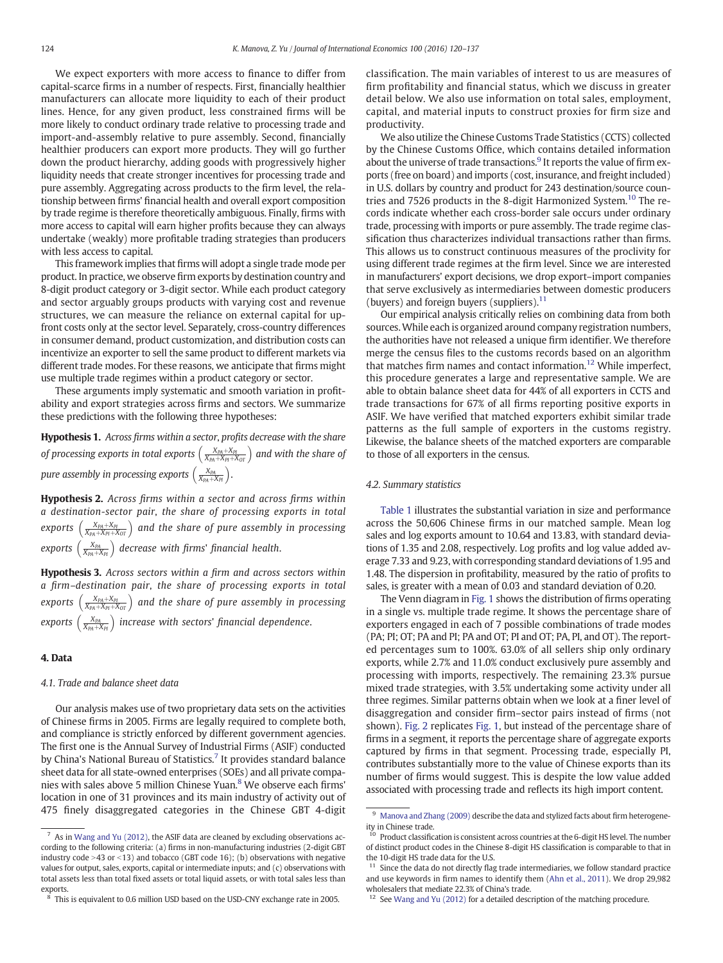<span id="page-4-0"></span>We expect exporters with more access to finance to differ from capital-scarce firms in a number of respects. First, financially healthier manufacturers can allocate more liquidity to each of their product lines. Hence, for any given product, less constrained firms will be more likely to conduct ordinary trade relative to processing trade and import-and-assembly relative to pure assembly. Second, financially healthier producers can export more products. They will go further down the product hierarchy, adding goods with progressively higher liquidity needs that create stronger incentives for processing trade and pure assembly. Aggregating across products to the firm level, the relationship between firms' financial health and overall export composition by trade regime is therefore theoretically ambiguous. Finally, firms with more access to capital will earn higher profits because they can always undertake (weakly) more profitable trading strategies than producers with less access to capital.

This framework implies that firms will adopt a single trade mode per product. In practice, we observe firm exports by destination country and 8-digit product category or 3-digit sector. While each product category and sector arguably groups products with varying cost and revenue structures, we can measure the reliance on external capital for upfront costs only at the sector level. Separately, cross-country differences in consumer demand, product customization, and distribution costs can incentivize an exporter to sell the same product to different markets via different trade modes. For these reasons, we anticipate that firms might use multiple trade regimes within a product category or sector.

These arguments imply systematic and smooth variation in profitability and export strategies across firms and sectors. We summarize these predictions with the following three hypotheses:

Hypothesis 1. Across firms within a sector, profits decrease with the share of processing exports in total exports  $\left(\frac{X_{PA}+X_{PI}}{X_{PA}+X_{PI}+X_{OT}}\right)$  and with the share of pure assembly in processing exports  $\left(\frac{X_{PA}}{X_{PA}+X_{PI}}\right)$ .

Hypothesis 2. Across firms within a sector and across firms within a destination-sector pair, the share of processing exports in total exports  $\left(\frac{X_{PA} + X_{PI}}{X_{PA} + X_{O} + X_{O}T}\right)$  and the share of pure assembly in processing exports  $\left(\frac{X_{PA}}{X_{PA}+X_{PI}}\right)$  decrease with firms' financial health.

Hypothesis 3. Across sectors within a firm and across sectors within a firm–destination pair, the share of processing exports in total exports  $\left(\frac{X_{PA} + X_{PI}}{X_{PA} + X_{O} + X_{O}T}\right)$  and the share of pure assembly in processing exports  $\left(\frac{X_{PA}}{X_{PA}+X_{PI}}\right)$  increase with sectors' financial dependence.

# 4. Data

# 4.1. Trade and balance sheet data

Our analysis makes use of two proprietary data sets on the activities of Chinese firms in 2005. Firms are legally required to complete both, and compliance is strictly enforced by different government agencies. The first one is the Annual Survey of Industrial Firms (ASIF) conducted by China's National Bureau of Statistics.<sup>7</sup> It provides standard balance sheet data for all state-owned enterprises (SOEs) and all private companies with sales above 5 million Chinese Yuan.<sup>8</sup> We observe each firms' location in one of 31 provinces and its main industry of activity out of 475 finely disaggregated categories in the Chinese GBT 4-digit classification. The main variables of interest to us are measures of firm profitability and financial status, which we discuss in greater detail below. We also use information on total sales, employment, capital, and material inputs to construct proxies for firm size and productivity.

We also utilize the Chinese Customs Trade Statistics (CCTS) collected by the Chinese Customs Office, which contains detailed information about the universe of trade transactions.<sup>9</sup> It reports the value of firm exports (free on board) and imports (cost, insurance, and freight included) in U.S. dollars by country and product for 243 destination/source countries and 7526 products in the 8-digit Harmonized System.<sup>10</sup> The records indicate whether each cross-border sale occurs under ordinary trade, processing with imports or pure assembly. The trade regime classification thus characterizes individual transactions rather than firms. This allows us to construct continuous measures of the proclivity for using different trade regimes at the firm level. Since we are interested in manufacturers' export decisions, we drop export–import companies that serve exclusively as intermediaries between domestic producers (buyers) and foreign buyers (suppliers). $11$ 

Our empirical analysis critically relies on combining data from both sources.While each is organized around company registration numbers, the authorities have not released a unique firm identifier. We therefore merge the census files to the customs records based on an algorithm that matches firm names and contact information.<sup>12</sup> While imperfect, this procedure generates a large and representative sample. We are able to obtain balance sheet data for 44% of all exporters in CCTS and trade transactions for 67% of all firms reporting positive exports in ASIF. We have verified that matched exporters exhibit similar trade patterns as the full sample of exporters in the customs registry. Likewise, the balance sheets of the matched exporters are comparable to those of all exporters in the census.

# 4.2. Summary statistics

[Table 1](#page-5-0) illustrates the substantial variation in size and performance across the 50,606 Chinese firms in our matched sample. Mean log sales and log exports amount to 10.64 and 13.83, with standard deviations of 1.35 and 2.08, respectively. Log profits and log value added average 7.33 and 9.23, with corresponding standard deviations of 1.95 and 1.48. The dispersion in profitability, measured by the ratio of profits to sales, is greater with a mean of 0.03 and standard deviation of 0.20.

The Venn diagram in [Fig. 1](#page-5-0) shows the distribution of firms operating in a single vs. multiple trade regime. It shows the percentage share of exporters engaged in each of 7 possible combinations of trade modes (PA; PI; OT; PA and PI; PA and OT; PI and OT; PA, PI, and OT). The reported percentages sum to 100%. 63.0% of all sellers ship only ordinary exports, while 2.7% and 11.0% conduct exclusively pure assembly and processing with imports, respectively. The remaining 23.3% pursue mixed trade strategies, with 3.5% undertaking some activity under all three regimes. Similar patterns obtain when we look at a finer level of disaggregation and consider firm–sector pairs instead of firms (not shown). [Fig. 2](#page-5-0) replicates [Fig. 1](#page-5-0), but instead of the percentage share of firms in a segment, it reports the percentage share of aggregate exports captured by firms in that segment. Processing trade, especially PI, contributes substantially more to the value of Chinese exports than its number of firms would suggest. This is despite the low value added associated with processing trade and reflects its high import content.

 $^7\,$  As in [Wang and Yu \(2012\),](#page-17-0) the ASIF data are cleaned by excluding observations according to the following criteria: (a) firms in non-manufacturing industries (2-digit GBT industry code  $>43$  or  $<13$ ) and tobacco (GBT code 16); (b) observations with negative values for output, sales, exports, capital or intermediate inputs; and (c) observations with total assets less than total fixed assets or total liquid assets, or with total sales less than exports.

This is equivalent to 0.6 million USD based on the USD-CNY exchange rate in 2005.

<sup>&</sup>lt;sup>9</sup> [Manova and Zhang \(2009\)](#page-16-0) describe the data and stylized facts about firm heterogeneity in Chinese trade.

<sup>&</sup>lt;sup>10</sup> Product classification is consistent across countries at the 6-digit HS level. The number of distinct product codes in the Chinese 8-digit HS classification is comparable to that in the 10-digit HS trade data for the U.S.

 $11$  Since the data do not directly flag trade intermediaries, we follow standard practice and use keywords in firm names to identify them ([Ahn et al., 2011](#page-16-0)). We drop 29,982 wholesalers that mediate 22.3% of China's trade.

See [Wang and Yu \(2012\)](#page-17-0) for a detailed description of the matching procedure.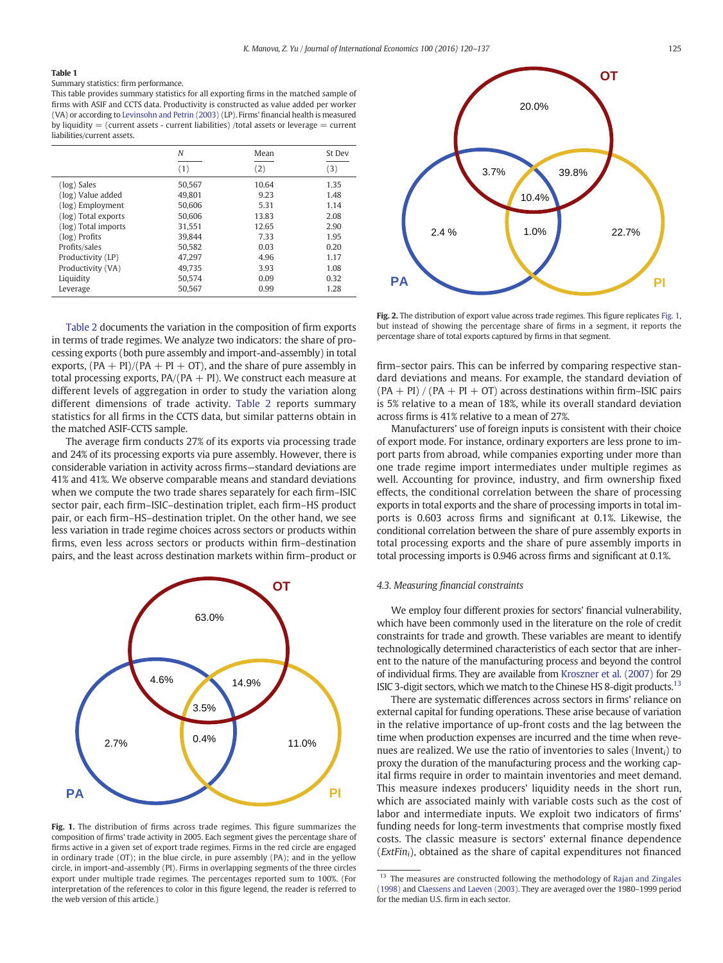<span id="page-5-0"></span>Summary statistics: firm performance.

This table provides summary statistics for all exporting firms in the matched sample of firms with ASIF and CCTS data. Productivity is constructed as value added per worker (VA) or according to [Levinsohn and Petrin \(2003\)](#page-16-0) (LP). Firms' financial health is measured by liquidity  $=$  (current assets - current liabilities) /total assets or leverage  $=$  current liabilities/current assets.

|                     | N      | Mean  | St Dev |
|---------------------|--------|-------|--------|
|                     | (1)    | (2)   | (3)    |
| (log) Sales         | 50.567 | 10.64 | 1.35   |
| (log) Value added   | 49.801 | 9.23  | 1.48   |
| (log) Employment    | 50,606 | 5.31  | 1.14   |
| (log) Total exports | 50,606 | 13.83 | 2.08   |
| (log) Total imports | 31.551 | 12.65 | 2.90   |
| (log) Profits       | 39.844 | 7.33  | 1.95   |
| Profits/sales       | 50.582 | 0.03  | 0.20   |
| Productivity (LP)   | 47.297 | 4.96  | 1.17   |
| Productivity (VA)   | 49.735 | 3.93  | 1.08   |
| Liquidity           | 50.574 | 0.09  | 0.32   |
| Leverage            | 50.567 | 0.99  | 1.28   |

[Table 2](#page-6-0) documents the variation in the composition of firm exports in terms of trade regimes. We analyze two indicators: the share of processing exports (both pure assembly and import-and-assembly) in total exports,  $(PA + PI)/(PA + PI + OT)$ , and the share of pure assembly in total processing exports,  $PA/(PA + PI)$ . We construct each measure at different levels of aggregation in order to study the variation along different dimensions of trade activity. [Table 2](#page-6-0) reports summary statistics for all firms in the CCTS data, but similar patterns obtain in the matched ASIF-CCTS sample.

The average firm conducts 27% of its exports via processing trade and 24% of its processing exports via pure assembly. However, there is considerable variation in activity across firms—standard deviations are 41% and 41%. We observe comparable means and standard deviations when we compute the two trade shares separately for each firm–ISIC sector pair, each firm–ISIC–destination triplet, each firm–HS product pair, or each firm–HS–destination triplet. On the other hand, we see less variation in trade regime choices across sectors or products within firms, even less across sectors or products within firm–destination pairs, and the least across destination markets within firm–product or



Fig. 1. The distribution of firms across trade regimes. This figure summarizes the composition of firms' trade activity in 2005. Each segment gives the percentage share of firms active in a given set of export trade regimes. Firms in the red circle are engaged in ordinary trade (OT); in the blue circle, in pure assembly (PA); and in the yellow circle, in import-and-assembly (PI). Firms in overlapping segments of the three circles export under multiple trade regimes. The percentages reported sum to 100%. (For interpretation of the references to color in this figure legend, the reader is referred to the web version of this article.)



Fig. 2. The distribution of export value across trade regimes. This figure replicates Fig. 1, but instead of showing the percentage share of firms in a segment, it reports the percentage share of total exports captured by firms in that segment.

firm–sector pairs. This can be inferred by comparing respective standard deviations and means. For example, the standard deviation of  $(PA + PI) / (PA + PI + OT)$  across destinations within firm–ISIC pairs is 5% relative to a mean of 18%, while its overall standard deviation across firms is 41% relative to a mean of 27%.

Manufacturers' use of foreign inputs is consistent with their choice of export mode. For instance, ordinary exporters are less prone to import parts from abroad, while companies exporting under more than one trade regime import intermediates under multiple regimes as well. Accounting for province, industry, and firm ownership fixed effects, the conditional correlation between the share of processing exports in total exports and the share of processing imports in total imports is 0.603 across firms and significant at 0.1%. Likewise, the conditional correlation between the share of pure assembly exports in total processing exports and the share of pure assembly imports in total processing imports is 0.946 across firms and significant at 0.1%.

# 4.3. Measuring financial constraints

We employ four different proxies for sectors' financial vulnerability, which have been commonly used in the literature on the role of credit constraints for trade and growth. These variables are meant to identify technologically determined characteristics of each sector that are inherent to the nature of the manufacturing process and beyond the control of individual firms. They are available from [Kroszner et al. \(2007\)](#page-16-0) for 29 ISIC 3-digit sectors, which we match to the Chinese HS 8-digit products.<sup>13</sup>

There are systematic differences across sectors in firms' reliance on external capital for funding operations. These arise because of variation in the relative importance of up-front costs and the lag between the time when production expenses are incurred and the time when revenues are realized. We use the ratio of inventories to sales (Invent $_i$ ) to proxy the duration of the manufacturing process and the working capital firms require in order to maintain inventories and meet demand. This measure indexes producers' liquidity needs in the short run, which are associated mainly with variable costs such as the cost of labor and intermediate inputs. We exploit two indicators of firms' funding needs for long-term investments that comprise mostly fixed costs. The classic measure is sectors' external finance dependence  $(ExtFin<sub>i</sub>)$ , obtained as the share of capital expenditures not financed

<sup>&</sup>lt;sup>13</sup> The measures are constructed following the methodology of [Rajan and Zingales](#page-17-0) [\(1998\)](#page-17-0) and [Claessens and Laeven \(2003\).](#page-16-0) They are averaged over the 1980–1999 period for the median U.S. firm in each sector.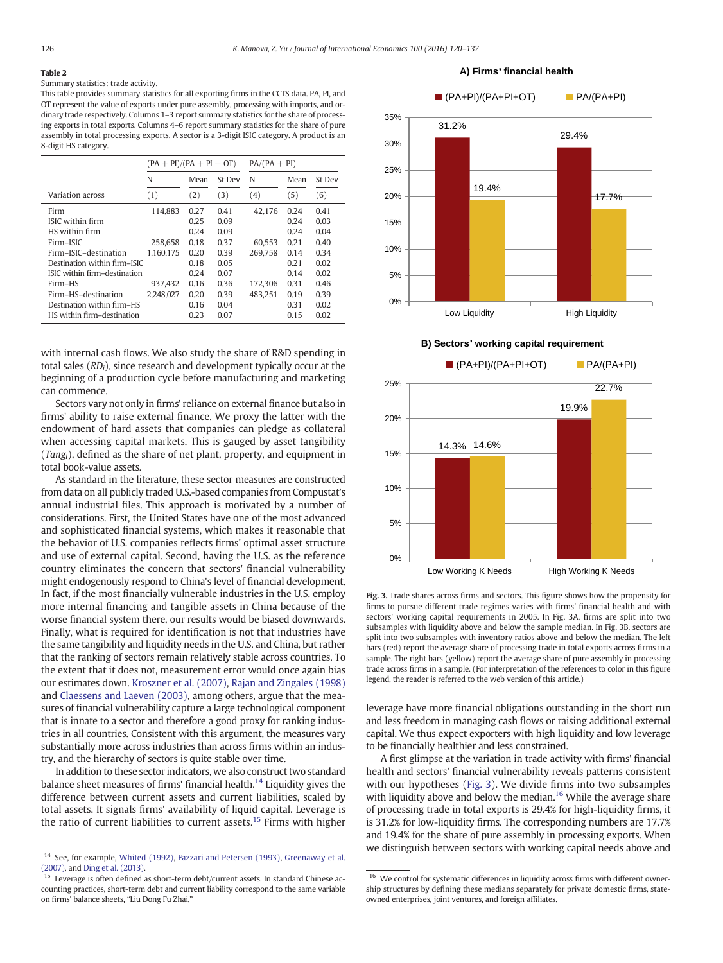<span id="page-6-0"></span>Summary statistics: trade activity.

This table provides summary statistics for all exporting firms in the CCTS data. PA, PI, and OT represent the value of exports under pure assembly, processing with imports, and ordinary trade respectively. Columns 1–3 report summary statistics for the share of processing exports in total exports. Columns 4–6 report summary statistics for the share of pure assembly in total processing exports. A sector is a 3-digit ISIC category. A product is an 8-digit HS category.

|                              | $(PA + PI)/(PA + PI + OT)$ |      |        | $PA/(PA + PI)$ |      |        |  |
|------------------------------|----------------------------|------|--------|----------------|------|--------|--|
|                              | N                          | Mean | St Dev | N              | Mean | St Dev |  |
| Variation across             | (1)                        | (2)  | (3)    | (4)            | (5)  | (6)    |  |
| Firm                         | 114.883                    | 0.27 | 0.41   | 42.176         | 0.24 | 0.41   |  |
| <b>ISIC</b> within firm      |                            | 0.25 | 0.09   |                | 0.24 | 0.03   |  |
| HS within firm               |                            | 0.24 | 0.09   |                | 0.24 | 0.04   |  |
| Firm-ISIC                    | 258.658                    | 0.18 | 0.37   | 60.553         | 0.21 | 0.40   |  |
| Firm-ISIC-destination        | 1.160.175                  | 0.20 | 0.39   | 269.758        | 0.14 | 0.34   |  |
| Destination within firm-ISIC |                            | 0.18 | 0.05   |                | 0.21 | 0.02   |  |
| ISIC within firm-destination |                            | 0.24 | 0.07   |                | 0.14 | 0.02   |  |
| Firm-HS                      | 937.432                    | 0.16 | 0.36   | 172.306        | 0.31 | 0.46   |  |
| Firm-HS-destination          | 2.248.027                  | 0.20 | 0.39   | 483.251        | 0.19 | 0.39   |  |
| Destination within firm-HS   |                            | 0.16 | 0.04   |                | 0.31 | 0.02   |  |
| HS within firm-destination   |                            | 0.23 | 0.07   |                | 0.15 | 0.02   |  |

with internal cash flows. We also study the share of R&D spending in total sales  $(RD_i)$ , since research and development typically occur at the beginning of a production cycle before manufacturing and marketing can commence.

Sectors vary not only in firms' reliance on external finance but also in firms' ability to raise external finance. We proxy the latter with the endowment of hard assets that companies can pledge as collateral when accessing capital markets. This is gauged by asset tangibility  $(Tang<sub>i</sub>)$ , defined as the share of net plant, property, and equipment in total book-value assets.

As standard in the literature, these sector measures are constructed from data on all publicly traded U.S.-based companies from Compustat's annual industrial files. This approach is motivated by a number of considerations. First, the United States have one of the most advanced and sophisticated financial systems, which makes it reasonable that the behavior of U.S. companies reflects firms' optimal asset structure and use of external capital. Second, having the U.S. as the reference country eliminates the concern that sectors' financial vulnerability might endogenously respond to China's level of financial development. In fact, if the most financially vulnerable industries in the U.S. employ more internal financing and tangible assets in China because of the worse financial system there, our results would be biased downwards. Finally, what is required for identification is not that industries have the same tangibility and liquidity needs in the U.S. and China, but rather that the ranking of sectors remain relatively stable across countries. To the extent that it does not, measurement error would once again bias our estimates down. [Kroszner et al. \(2007\),](#page-16-0) [Rajan and Zingales \(1998\)](#page-17-0) and [Claessens and Laeven \(2003\),](#page-16-0) among others, argue that the measures of financial vulnerability capture a large technological component that is innate to a sector and therefore a good proxy for ranking industries in all countries. Consistent with this argument, the measures vary substantially more across industries than across firms within an industry, and the hierarchy of sectors is quite stable over time.

In addition to these sector indicators, we also construct two standard balance sheet measures of firms' financial health.<sup>14</sup> Liquidity gives the difference between current assets and current liabilities, scaled by total assets. It signals firms' availability of liquid capital. Leverage is the ratio of current liabilities to current assets.<sup>15</sup> Firms with higher

# 31.2% 29.4% 19.4% 17.7% 0% 5% 10% 15% 20% 25% 30% 35% Low Liquidity **High Liquidity**  $P(A+PI)/(PA+PI+OT)$   $P(A/(PA+PI)$

**A)** Firms' financial health

**B) Sectors working capital requirement**



Fig. 3. Trade shares across firms and sectors. This figure shows how the propensity for firms to pursue different trade regimes varies with firms' financial health and with sectors' working capital requirements in 2005. In Fig. 3A, firms are split into two subsamples with liquidity above and below the sample median. In Fig. 3B, sectors are split into two subsamples with inventory ratios above and below the median. The left bars (red) report the average share of processing trade in total exports across firms in a sample. The right bars (yellow) report the average share of pure assembly in processing trade across firms in a sample. (For interpretation of the references to color in this figure legend, the reader is referred to the web version of this article.)

leverage have more financial obligations outstanding in the short run and less freedom in managing cash flows or raising additional external capital. We thus expect exporters with high liquidity and low leverage to be financially healthier and less constrained.

A first glimpse at the variation in trade activity with firms' financial health and sectors' financial vulnerability reveals patterns consistent with our hypotheses (Fig. 3). We divide firms into two subsamples with liquidity above and below the median.<sup>16</sup> While the average share of processing trade in total exports is 29.4% for high-liquidity firms, it is 31.2% for low-liquidity firms. The corresponding numbers are 17.7% and 19.4% for the share of pure assembly in processing exports. When we distinguish between sectors with working capital needs above and  $\frac{14}{14}$  See, for example, [Whited \(1992\)](#page-17-0), [Fazzari and Petersen \(1993\)](#page-16-0), [Greenaway et al.](#page-16-0)

[<sup>\(2007\)</sup>](#page-16-0), and [Ding et al. \(2013\).](#page-16-0)<br><sup>15</sup> Leverage is often defined as short-term debt/current assets. In standard Chinese accounting practices, short-term debt and current liability correspond to the same variable on firms' balance sheets, "Liu Dong Fu Zhai."

<sup>&</sup>lt;sup>16</sup> We control for systematic differences in liquidity across firms with different ownership structures by defining these medians separately for private domestic firms, stateowned enterprises, joint ventures, and foreign affiliates.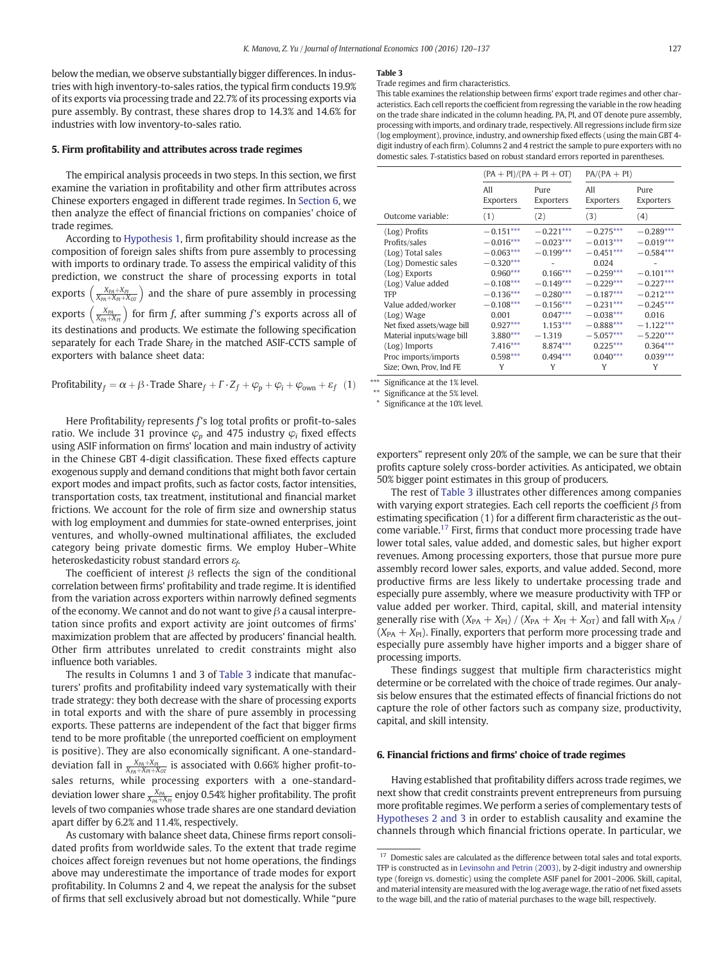<span id="page-7-0"></span>below the median, we observe substantially bigger differences. In industries with high inventory-to-sales ratios, the typical firm conducts 19.9% of its exports via processing trade and 22.7% of its processing exports via pure assembly. By contrast, these shares drop to 14.3% and 14.6% for industries with low inventory-to-sales ratio.

# 5. Firm profitability and attributes across trade regimes

The empirical analysis proceeds in two steps. In this section, we first examine the variation in profitability and other firm attributes across Chinese exporters engaged in different trade regimes. In Section 6, we then analyze the effect of financial frictions on companies' choice of trade regimes.

According to [Hypothesis 1,](#page-4-0) firm profitability should increase as the composition of foreign sales shifts from pure assembly to processing with imports to ordinary trade. To assess the empirical validity of this prediction, we construct the share of processing exports in total exports  $\left(\frac{X_{PA} + X_{PI}}{X_{PA} + X_{O} + X_{O}T}\right)$  and the share of pure assembly in processing exports  $\left(\frac{X_{PA}}{X_{PA}+X_{PI}}\right)$  for firm f, after summing f's exports across all of its destinations and products. We estimate the following specification separately for each Trade Share $_f$  in the matched ASIF-CCTS sample of exporters with balance sheet data:

Profitability<sub>f</sub> =  $\alpha + \beta$  ⋅ Trade Share<sub>f</sub> +  $\Gamma$  ⋅ Z<sub>f</sub> +  $\varphi_p$  +  $\varphi_i$  +  $\varphi_{own}$  +  $\varepsilon_f$  (1)

Here Profitability<sub>f</sub> represents f's log total profits or profit-to-sales ratio. We include 31 province  $\varphi_p$  and 475 industry  $\varphi_i$  fixed effects using ASIF information on firms' location and main industry of activity in the Chinese GBT 4-digit classification. These fixed effects capture exogenous supply and demand conditions that might both favor certain export modes and impact profits, such as factor costs, factor intensities, transportation costs, tax treatment, institutional and financial market frictions. We account for the role of firm size and ownership status with log employment and dummies for state-owned enterprises, joint ventures, and wholly-owned multinational affiliates, the excluded category being private domestic firms. We employ Huber–White heteroskedasticity robust standard errors  $\varepsilon_{f}$ .

The coefficient of interest  $\beta$  reflects the sign of the conditional correlation between firms' profitability and trade regime. It is identified from the variation across exporters within narrowly defined segments of the economy. We cannot and do not want to give  $\beta$  a causal interpretation since profits and export activity are joint outcomes of firms' maximization problem that are affected by producers' financial health. Other firm attributes unrelated to credit constraints might also influence both variables.

The results in Columns 1 and 3 of Table 3 indicate that manufacturers' profits and profitability indeed vary systematically with their trade strategy: they both decrease with the share of processing exports in total exports and with the share of pure assembly in processing exports. These patterns are independent of the fact that bigger firms tend to be more profitable (the unreported coefficient on employment is positive). They are also economically significant. A one-standarddeviation fall in  $\frac{X_{PA}+X_{PI}}{X_{PA}+X_{PI}+X_{OT}}$  is associated with 0.66% higher profit-tosales returns, while processing exporters with a one-standarddeviation lower share  $\frac{X_{PA}}{X_{PA}+X_{PI}}$  enjoy 0.54% higher profitability. The profit levels of two companies whose trade shares are one standard deviation apart differ by 6.2% and 11.4%, respectively.

As customary with balance sheet data, Chinese firms report consolidated profits from worldwide sales. To the extent that trade regime choices affect foreign revenues but not home operations, the findings above may underestimate the importance of trade modes for export profitability. In Columns 2 and 4, we repeat the analysis for the subset of firms that sell exclusively abroad but not domestically. While "pure

#### Table 3

Trade regimes and firm characteristics.

This table examines the relationship between firms' export trade regimes and other characteristics. Each cell reports the coefficient from regressing the variable in the row heading on the trade share indicated in the column heading. PA, PI, and OT denote pure assembly, processing with imports, and ordinary trade, respectively. All regressions include firm size (log employment), province, industry, and ownership fixed effects (using the main GBT 4 digit industry of each firm). Columns 2 and 4 restrict the sample to pure exporters with no domestic sales. T-statistics based on robust standard errors reported in parentheses.

|                                    | $(PA + PI)/(PA + PI + OT)$ |                            | $PA/(PA + PI)$             |                            |
|------------------------------------|----------------------------|----------------------------|----------------------------|----------------------------|
|                                    | All<br>Exporters           | Pure<br>Exporters          | All<br>Exporters           | Pure<br>Exporters          |
| Outcome variable:                  | (1)                        | (2)                        | (3)                        | (4)                        |
| (Log) Profits                      | $-0.151***$                | $-0.221***$                | $-0.275***$                | $-0.289***$                |
| Profits/sales<br>(Log) Total sales | $-0.016***$<br>$-0.063***$ | $-0.023***$<br>$-0.199***$ | $-0.013***$<br>$-0.451***$ | $-0.019***$<br>$-0.584***$ |
| (Log) Domestic sales               | $-0.320***$                |                            | 0.024                      |                            |
| (Log) Exports                      | $0.960***$                 | $0.166***$                 | $-0.259***$                | $-0.101***$                |
| (Log) Value added                  | $-0.108***$                | $-0.149***$                | $-0.229***$                | $-0.227***$                |
| TFP                                | $-0.136***$                | $-0.280***$                | $-0.187***$                | $-0.212***$                |
| Value added/worker                 | $-0.108***$                | $-0.156***$                | $-0.231***$                | $-0.245***$                |
| (Log) Wage                         | 0.001                      | $0.047***$                 | $-0.038***$                | 0.016                      |
| Net fixed assets/wage bill         | $0.927***$                 | $1.153***$                 | $-0.888***$                | $-1.122***$                |
| Material inputs/wage bill          | 3.880***                   | $-1.319$                   | $-5.057***$                | $-5.220***$                |
| (Log) Imports                      | $7.416***$                 | 8.874***                   | $0.225***$                 | $0.364***$                 |
| Proc imports/imports               | $0.598***$                 | $0.494***$                 | $0.040***$                 | $0.039***$                 |
| Size; Own, Prov, Ind FE            | Υ                          | Y                          | Y                          | Y                          |

\*\*\* Significance at the 1% level.

\*\* Significance at the 5% level.

⁎ Significance at the 10% level.

exporters" represent only 20% of the sample, we can be sure that their profits capture solely cross-border activities. As anticipated, we obtain 50% bigger point estimates in this group of producers.

The rest of Table 3 illustrates other differences among companies with varying export strategies. Each cell reports the coefficient  $\beta$  from estimating specification (1) for a different firm characteristic as the outcome variable.17 First, firms that conduct more processing trade have lower total sales, value added, and domestic sales, but higher export revenues. Among processing exporters, those that pursue more pure assembly record lower sales, exports, and value added. Second, more productive firms are less likely to undertake processing trade and especially pure assembly, where we measure productivity with TFP or value added per worker. Third, capital, skill, and material intensity generally rise with  $(X_{PA} + X_{PI}) / (X_{PA} + X_{PI} + X_{OT})$  and fall with  $X_{PA}$  /  $(X_{PA} + X_{PI})$ . Finally, exporters that perform more processing trade and especially pure assembly have higher imports and a bigger share of processing imports.

These findings suggest that multiple firm characteristics might determine or be correlated with the choice of trade regimes. Our analysis below ensures that the estimated effects of financial frictions do not capture the role of other factors such as company size, productivity, capital, and skill intensity.

# 6. Financial frictions and firms' choice of trade regimes

Having established that profitability differs across trade regimes, we next show that credit constraints prevent entrepreneurs from pursuing more profitable regimes. We perform a series of complementary tests of [Hypotheses 2 and 3](#page-4-0) in order to establish causality and examine the channels through which financial frictions operate. In particular, we

<sup>&</sup>lt;sup>17</sup> Domestic sales are calculated as the difference between total sales and total exports. TFP is constructed as in [Levinsohn and Petrin \(2003\),](#page-16-0) by 2-digit industry and ownership type (foreign vs. domestic) using the complete ASIF panel for 2001–2006. Skill, capital, and material intensity are measured with the log average wage, the ratio of net fixed assets to the wage bill, and the ratio of material purchases to the wage bill, respectively.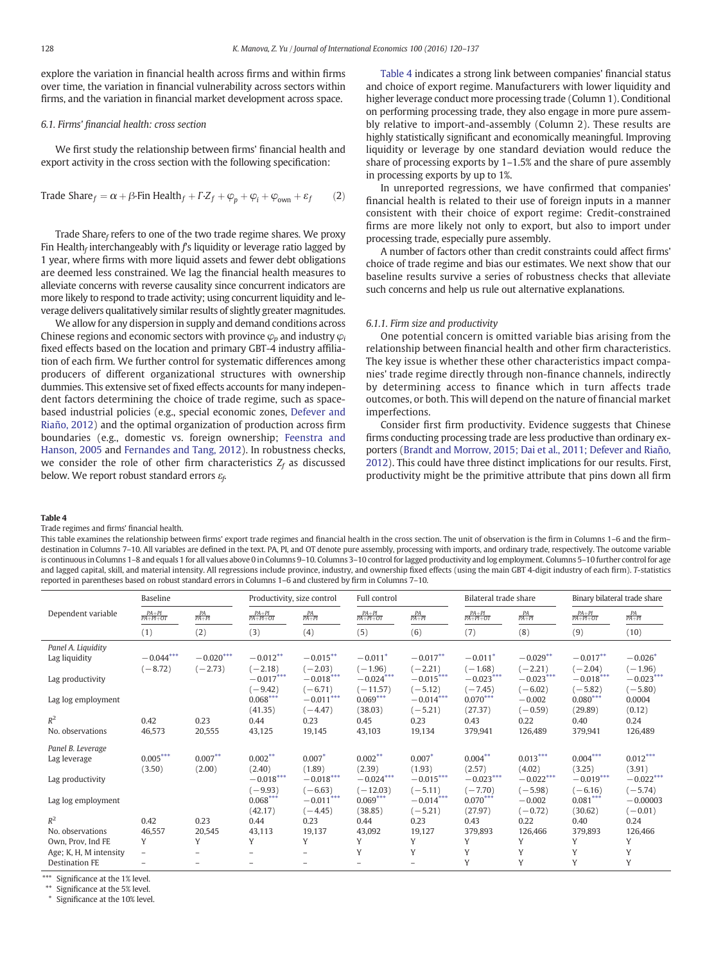<span id="page-8-0"></span>explore the variation in financial health across firms and within firms over time, the variation in financial vulnerability across sectors within firms, and the variation in financial market development across space.

# 6.1. Firms' financial health: cross section

We first study the relationship between firms' financial health and export activity in the cross section with the following specification:

$$
\text{Trade Share}_f = \alpha + \beta \cdot \text{Fin Health}_f + \Gamma \cdot Z_f + \varphi_p + \varphi_i + \varphi_{\text{own}} + \varepsilon_f \qquad (2)
$$

Trade Share $_f$  refers to one of the two trade regime shares. We proxy Fin Health<sub>f</sub> interchangeably with  $f$ s liquidity or leverage ratio lagged by 1 year, where firms with more liquid assets and fewer debt obligations are deemed less constrained. We lag the financial health measures to alleviate concerns with reverse causality since concurrent indicators are more likely to respond to trade activity; using concurrent liquidity and leverage delivers qualitatively similar results of slightly greater magnitudes.

We allow for any dispersion in supply and demand conditions across Chinese regions and economic sectors with province  $\varphi$ <sub>p</sub> and industry  $\varphi$ <sub>i</sub> fixed effects based on the location and primary GBT-4 industry affiliation of each firm. We further control for systematic differences among producers of different organizational structures with ownership dummies. This extensive set of fixed effects accounts for many independent factors determining the choice of trade regime, such as spacebased industrial policies (e.g., special economic zones, [Defever and](#page-16-0) [Riaño, 2012](#page-16-0)) and the optimal organization of production across firm boundaries (e.g., domestic vs. foreign ownership; [Feenstra and](#page-16-0) [Hanson, 2005](#page-16-0) and [Fernandes and Tang, 2012\)](#page-16-0). In robustness checks, we consider the role of other firm characteristics  $Z_f$  as discussed below. We report robust standard errors  $\varepsilon_f$ .

Table 4 indicates a strong link between companies' financial status and choice of export regime. Manufacturers with lower liquidity and higher leverage conduct more processing trade (Column 1). Conditional on performing processing trade, they also engage in more pure assembly relative to import-and-assembly (Column 2). These results are highly statistically significant and economically meaningful. Improving liquidity or leverage by one standard deviation would reduce the share of processing exports by 1–1.5% and the share of pure assembly in processing exports by up to 1%.

In unreported regressions, we have confirmed that companies' financial health is related to their use of foreign inputs in a manner consistent with their choice of export regime: Credit-constrained firms are more likely not only to export, but also to import under processing trade, especially pure assembly.

A number of factors other than credit constraints could affect firms' choice of trade regime and bias our estimates. We next show that our baseline results survive a series of robustness checks that alleviate such concerns and help us rule out alternative explanations.

# 6.1.1. Firm size and productivity

One potential concern is omitted variable bias arising from the relationship between financial health and other firm characteristics. The key issue is whether these other characteristics impact companies' trade regime directly through non-finance channels, indirectly by determining access to finance which in turn affects trade outcomes, or both. This will depend on the nature of financial market imperfections.

Consider first firm productivity. Evidence suggests that Chinese firms conducting processing trade are less productive than ordinary exporters ([Brandt and Morrow, 2015; Dai et al., 2011; Defever and Riaño,](#page-16-0) [2012\)](#page-16-0). This could have three distinct implications for our results. First, productivity might be the primitive attribute that pins down all firm

#### Table 4

#### Trade regimes and firms' financial health.

This table examines the relationship between firms' export trade regimes and financial health in the cross section. The unit of observation is the firm in Columns 1–6 and the firm– destination in Columns 7–10. All variables are defined in the text. PA, PI, and OT denote pure assembly, processing with imports, and ordinary trade, respectively. The outcome variable is continuous in Columns 1–8 and equals 1 for all values above 0 in Columns 9–10. Columns 3–10 control for lagged productivity and log employment. Columns 5–10 further control for age and lagged capital, skill, and material intensity. All regressions include province, industry, and ownership fixed effects (using the main GBT 4-digit industry of each firm). T-statistics reported in parentheses based on robust standard errors in Columns 1–6 and clustered by firm in Columns 7–10.

| Baseline                            |                          |                          | Productivity, size control |                          | Full control              |                          | Bilateral trade share    |                          | Binary bilateral trade share |                          |
|-------------------------------------|--------------------------|--------------------------|----------------------------|--------------------------|---------------------------|--------------------------|--------------------------|--------------------------|------------------------------|--------------------------|
| Dependent variable                  | $\frac{PA+PI}{PA+PI+OT}$ | PA<br>$PA + PI$          | $PA+PI$<br>$PA + PI + OT$  | $\frac{PA}{PA+PI}$       | $\frac{PA+PI}{PA+PI+OT}$  | $\frac{PA}{PA+PI}$       | $\frac{PA+PI}{PA+PI+OT}$ | $\frac{PA}{PA+PI}$       | $PA + PI$<br>$PA + PI + OT$  | $\frac{PA}{PA+PI}$       |
|                                     | (1)                      | (2)                      | (3)                        | (4)                      | (5)                       | (6)                      | (7)                      | (8)                      | (9)                          | (10)                     |
| Panel A. Liquidity<br>Lag liquidity | $-0.044***$<br>$(-8.72)$ | $-0.020***$<br>$(-2.73)$ | $-0.012**$<br>$(-2.18)$    | $-0.015***$<br>$(-2.03)$ | $-0.011*$<br>$(-1.96)$    | $-0.017***$<br>$(-2.21)$ | $-0.011*$<br>$(-1.68)$   | $-0.029***$<br>$(-2.21)$ | $-0.017**$<br>$(-2.04)$      | $-0.026*$<br>$(-1.96)$   |
| Lag productivity                    |                          |                          | $-0.017***$<br>$(-9.42)$   | $-0.018***$<br>$(-6.71)$ | $-0.024***$<br>$(-11.57)$ | $-0.015***$<br>$(-5.12)$ | $-0.023***$<br>$(-7.45)$ | $-0.023***$<br>$(-6.02)$ | $-0.018***$<br>$(-5.82)$     | $-0.023***$<br>$(-5.80)$ |
| Lag log employment                  |                          |                          | $0.068***$<br>(41.35)      | $-0.011***$<br>$(-4.47)$ | $0.069***$<br>(38.03)     | $-0.014***$<br>$(-5.21)$ | $0.070***$<br>(27.37)    | $-0.002$<br>$(-0.59)$    | $0.080***$<br>(29.89)        | 0.0004<br>(0.12)         |
| $R^2$<br>No. observations           | 0.42<br>46,573           | 0.23<br>20,555           | 0.44<br>43,125             | 0.23<br>19,145           | 0.45<br>43,103            | 0.23<br>19,134           | 0.43<br>379,941          | 0.22<br>126,489          | 0.40<br>379,941              | 0.24<br>126,489          |
| Panel B. Leverage<br>Lag leverage   | $0.005***$<br>(3.50)     | $0.007***$<br>(2.00)     | $0.002***$<br>(2.40)       | $0.007*$<br>(1.89)       | $0.002***$<br>(2.39)      | $0.007*$<br>(1.93)       | $0.004***$<br>(2.57)     | $0.013***$<br>(4.02)     | $0.004***$<br>(3.25)         | $0.012***$<br>(3.91)     |
| Lag productivity                    |                          |                          | $-0.018***$<br>$(-9.93)$   | $-0.018***$<br>$(-6.63)$ | $-0.024***$<br>$(-12.03)$ | $-0.015***$<br>$(-5.11)$ | $-0.023***$<br>$(-7.70)$ | $-0.022***$<br>$(-5.98)$ | $-0.019***$<br>$(-6.16)$     | $-0.022***$<br>$(-5.74)$ |
| Lag log employment                  |                          |                          | $0.068***$<br>(42.17)      | $-0.011***$<br>$(-4.45)$ | $0.069***$<br>(38.85)     | $-0.014***$<br>$(-5.21)$ | $0.070***$<br>(27.97)    | $-0.002$<br>$(-0.72)$    | $0.081***$<br>(30.62)        | $-0.00003$<br>$(-0.01)$  |
| $R^2$                               | 0.42                     | 0.23                     | 0.44                       | 0.23                     | 0.44                      | 0.23                     | 0.43                     | 0.22                     | 0.40                         | 0.24                     |
| No. observations                    | 46,557                   | 20,545                   | 43,113                     | 19,137                   | 43,092                    | 19,127                   | 379,893                  | 126,466                  | 379.893                      | 126,466                  |
| Own, Prov, Ind FE                   | Y                        | Y                        | Y                          | Y                        | Y                         | Y                        | Y                        | Y                        | Y                            | Y                        |
| Age; K, H, M intensity              | $\overline{\phantom{a}}$ |                          |                            |                          | Y                         | Y                        | Y                        | Y                        | Y                            | Y                        |
| <b>Destination FE</b>               |                          |                          |                            |                          |                           |                          | Y                        | Y                        | Y                            | Y                        |

\*\*\* Significance at the 1% level.

\*\* Significance at the 5% level.

⁎ Significance at the 10% level.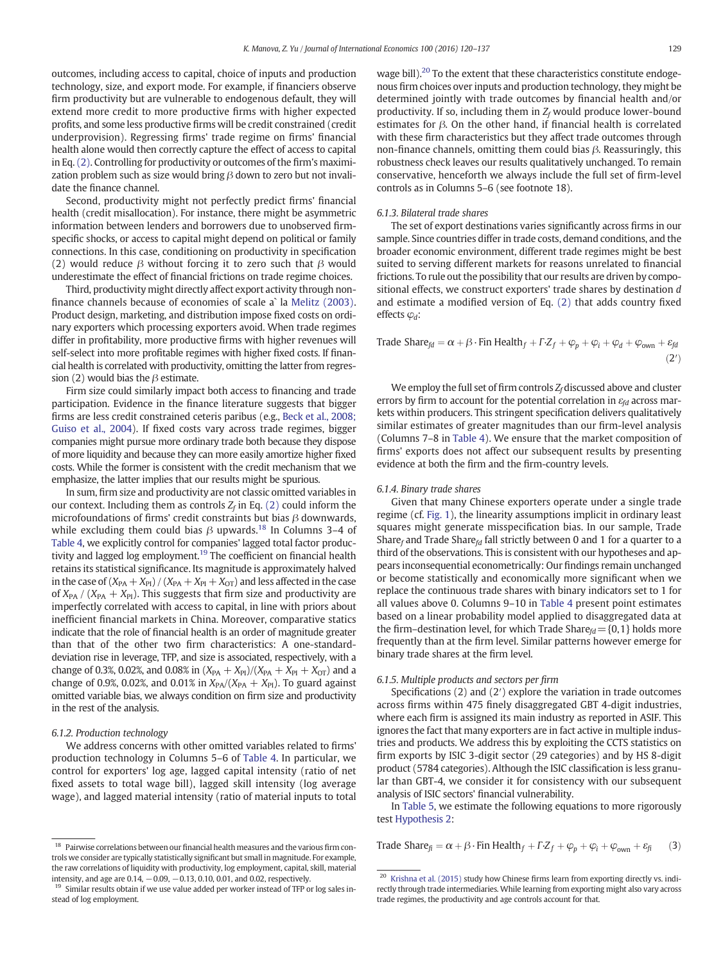<span id="page-9-0"></span>outcomes, including access to capital, choice of inputs and production technology, size, and export mode. For example, if financiers observe firm productivity but are vulnerable to endogenous default, they will extend more credit to more productive firms with higher expected profits, and some less productive firms will be credit constrained (credit underprovision). Regressing firms' trade regime on firms' financial health alone would then correctly capture the effect of access to capital in Eq. [\(2\)](#page-8-0). Controlling for productivity or outcomes of the firm's maximization problem such as size would bring  $\beta$  down to zero but not invalidate the finance channel.

Second, productivity might not perfectly predict firms' financial health (credit misallocation). For instance, there might be asymmetric information between lenders and borrowers due to unobserved firmspecific shocks, or access to capital might depend on political or family connections. In this case, conditioning on productivity in specification (2) would reduce  $\beta$  without forcing it to zero such that  $\beta$  would underestimate the effect of financial frictions on trade regime choices.

Third, productivity might directly affect export activity through nonfinance channels because of economies of scale a` la [Melitz \(2003\).](#page-17-0) Product design, marketing, and distribution impose fixed costs on ordinary exporters which processing exporters avoid. When trade regimes differ in profitability, more productive firms with higher revenues will self-select into more profitable regimes with higher fixed costs. If financial health is correlated with productivity, omitting the latter from regression (2) would bias the  $\beta$  estimate.

Firm size could similarly impact both access to financing and trade participation. Evidence in the finance literature suggests that bigger firms are less credit constrained ceteris paribus (e.g., [Beck et al., 2008;](#page-16-0) [Guiso et al., 2004\)](#page-16-0). If fixed costs vary across trade regimes, bigger companies might pursue more ordinary trade both because they dispose of more liquidity and because they can more easily amortize higher fixed costs. While the former is consistent with the credit mechanism that we emphasize, the latter implies that our results might be spurious.

In sum, firm size and productivity are not classic omitted variables in our context. Including them as controls  $Z_f$  in Eq. [\(2\)](#page-8-0) could inform the microfoundations of firms' credit constraints but bias  $\beta$  downwards, while excluding them could bias  $\beta$  upwards.<sup>18</sup> In Columns 3–4 of [Table 4,](#page-8-0) we explicitly control for companies' lagged total factor productivity and lagged log employment.<sup>19</sup> The coefficient on financial health retains its statistical significance. Its magnitude is approximately halved in the case of  $(X_{PA} + X_{PI}) / (X_{PA} + X_{PI} + X_{OT})$  and less affected in the case of  $X_{PA}$  / ( $X_{PA}$  +  $X_{PI}$ ). This suggests that firm size and productivity are imperfectly correlated with access to capital, in line with priors about inefficient financial markets in China. Moreover, comparative statics indicate that the role of financial health is an order of magnitude greater than that of the other two firm characteristics: A one-standarddeviation rise in leverage, TFP, and size is associated, respectively, with a change of 0.3%, 0.02%, and 0.08% in  $(X_{PA} + X_{PI})/(X_{PA} + X_{PI} + X_{OT})$  and a change of 0.9%, 0.02%, and 0.01% in  $X_{PA}/(X_{PA} + X_{PI})$ . To guard against omitted variable bias, we always condition on firm size and productivity in the rest of the analysis.

#### 6.1.2. Production technology

We address concerns with other omitted variables related to firms' production technology in Columns 5–6 of [Table 4.](#page-8-0) In particular, we control for exporters' log age, lagged capital intensity (ratio of net fixed assets to total wage bill), lagged skill intensity (log average wage), and lagged material intensity (ratio of material inputs to total wage bill).<sup>20</sup> To the extent that these characteristics constitute endogenous firm choices over inputs and production technology, they might be determined jointly with trade outcomes by financial health and/or productivity. If so, including them in  $Z_f$  would produce lower-bound estimates for β. On the other hand, if financial health is correlated with these firm characteristics but they affect trade outcomes through non-finance channels, omitting them could bias  $β$ . Reassuringly, this robustness check leaves our results qualitatively unchanged. To remain conservative, henceforth we always include the full set of firm-level controls as in Columns 5–6 (see footnote 18).

#### 6.1.3. Bilateral trade shares

The set of export destinations varies significantly across firms in our sample. Since countries differ in trade costs, demand conditions, and the broader economic environment, different trade regimes might be best suited to serving different markets for reasons unrelated to financial frictions. To rule out the possibility that our results are driven by compositional effects, we construct exporters' trade shares by destination d and estimate a modified version of Eq. [\(2\)](#page-8-0) that adds country fixed effects  $\varphi_d$ :

Trade Share<sub>fd</sub> = 
$$
\alpha + \beta \cdot \text{Fin Health}_f + \Gamma \cdot Z_f + \varphi_p + \varphi_i + \varphi_d + \varphi_{own} + \varepsilon_{fd}
$$
 (2')

We employ the full set of firm controls  $Z_f$  discussed above and cluster errors by firm to account for the potential correlation in  $\varepsilon_{fd}$  across markets within producers. This stringent specification delivers qualitatively similar estimates of greater magnitudes than our firm-level analysis (Columns 7–8 in [Table 4](#page-8-0)). We ensure that the market composition of firms' exports does not affect our subsequent results by presenting evidence at both the firm and the firm-country levels.

# 6.1.4. Binary trade shares

Given that many Chinese exporters operate under a single trade regime (cf. [Fig. 1\)](#page-5-0), the linearity assumptions implicit in ordinary least squares might generate misspecification bias. In our sample, Trade Share<sub>f</sub> and Trade Share<sub>fd</sub> fall strictly between 0 and 1 for a quarter to a third of the observations. This is consistent with our hypotheses and appears inconsequential econometrically: Our findings remain unchanged or become statistically and economically more significant when we replace the continuous trade shares with binary indicators set to 1 for all values above 0. Columns 9–10 in [Table 4](#page-8-0) present point estimates based on a linear probability model applied to disaggregated data at the firm–destination level, for which Trade Share $_{fd}$  = {0,1} holds more frequently than at the firm level. Similar patterns however emerge for binary trade shares at the firm level.

### 6.1.5. Multiple products and sectors per firm

Specifications (2) and (2′) explore the variation in trade outcomes across firms within 475 finely disaggregated GBT 4-digit industries, where each firm is assigned its main industry as reported in ASIF. This ignores the fact that many exporters are in fact active in multiple industries and products. We address this by exploiting the CCTS statistics on firm exports by ISIC 3-digit sector (29 categories) and by HS 8-digit product (5784 categories). Although the ISIC classification is less granular than GBT-4, we consider it for consistency with our subsequent analysis of ISIC sectors' financial vulnerability.

In [Table 5,](#page-10-0) we estimate the following equations to more rigorously test [Hypothesis 2:](#page-4-0)

<sup>18</sup> Pairwise correlations between our financial health measures and the various firm con-<br>
Trade Share<sub>fi</sub> =  $\alpha + \beta$  · Fin Health  $f + \Gamma Z_f + \varphi_p + \varphi_i + \varphi_{\rm own} + \varepsilon_{\rm fin}$  (3)

trols we consider are typically statistically significant but small in magnitude. For example, the raw correlations of liquidity with productivity, log employment, capital, skill, material intensity, and age are  $0.14, -0.09, -0.13, 0.10, 0.01$ , and 0.02, respectively.

<sup>&</sup>lt;sup>19</sup> Similar results obtain if we use value added per worker instead of TFP or log sales instead of log employment.

<sup>&</sup>lt;sup>20</sup> [Krishna et al. \(2015\)](#page-16-0) study how Chinese firms learn from exporting directly vs. indirectly through trade intermediaries. While learning from exporting might also vary across trade regimes, the productivity and age controls account for that.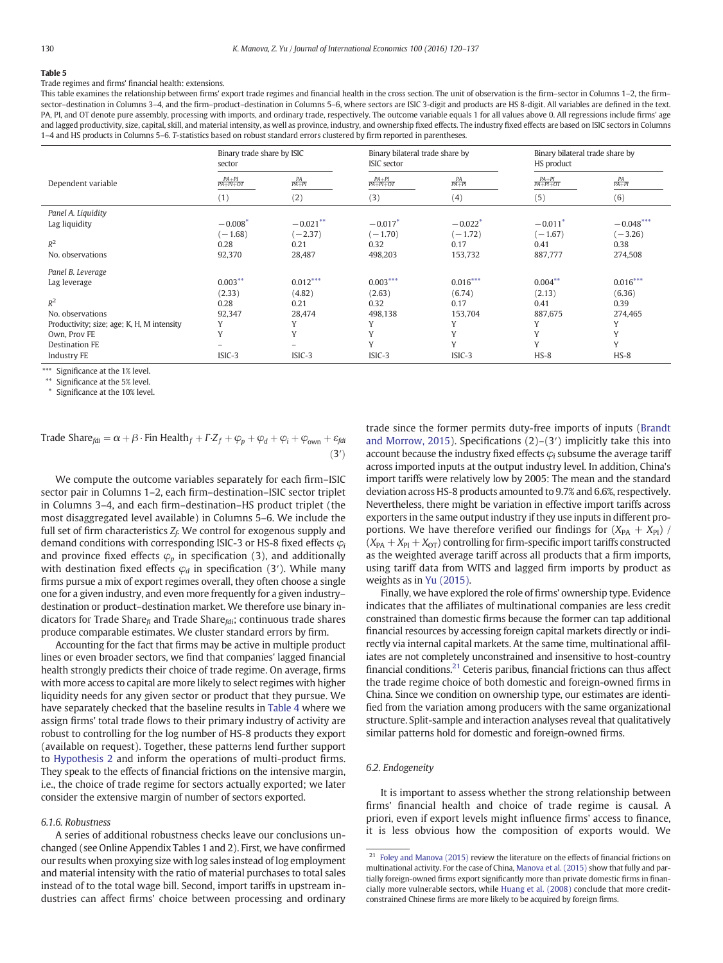## <span id="page-10-0"></span>Trade regimes and firms' financial health: extensions.

This table examines the relationship between firms' export trade regimes and financial health in the cross section. The unit of observation is the firm–sector in Columns 1–2, the firm– sector–destination in Columns 3–4, and the firm–product–destination in Columns 5–6, where sectors are ISIC 3-digit and products are HS 8-digit. All variables are defined in the text. PA, PI, and OT denote pure assembly, processing with imports, and ordinary trade, respectively. The outcome variable equals 1 for all values above 0. All regressions include firms' age and lagged productivity, size, capital, skill, and material intensity, as well as province, industry, and ownership fixed effects. The industry fixed effects are based on ISIC sectors in Columns 1–4 and HS products in Columns 5–6. T-statistics based on robust standard errors clustered by firm reported in parentheses.

|                                            | Binary trade share by ISIC<br>sector |                 | Binary bilateral trade share by<br><b>ISIC</b> sector |                       | Binary bilateral trade share by<br>HS product |                 |
|--------------------------------------------|--------------------------------------|-----------------|-------------------------------------------------------|-----------------------|-----------------------------------------------|-----------------|
| Dependent variable                         | $PA+PI$<br>$PA + PI + OT$            | PA<br>$PA + PI$ | $PA + PI$<br>$PA + PI + OT$                           | PA<br>$PA + PI$       | $PA + PI$<br>$PA + PI + OT$                   | PA<br>$PA + PI$ |
|                                            | (1)                                  | (2)             | (3)                                                   | (4)                   | (5)                                           | (6)             |
| Panel A. Liquidity                         |                                      |                 |                                                       |                       |                                               |                 |
| Lag liquidity                              | $-0.008$ <sup>*</sup>                | $-0.021***$     | $-0.017*$                                             | $-0.022$ <sup>*</sup> | $-0.011$ <sup>*</sup>                         | $-0.048***$     |
|                                            | $(-1.68)$                            | $(-2.37)$       | $(-1.70)$                                             | $(-1.72)$             | $(-1.67)$                                     | $(-3.26)$       |
| $R^2$                                      | 0.28                                 | 0.21            | 0.32                                                  | 0.17                  | 0.41                                          | 0.38            |
| No. observations                           | 92,370                               | 28,487          | 498,203                                               | 153,732               | 887,777                                       | 274,508         |
| Panel B. Leverage                          |                                      |                 |                                                       |                       |                                               |                 |
| Lag leverage                               | $0.003***$                           | $0.012***$      | $0.003***$                                            | $0.016***$            | $0.004***$                                    | $0.016***$      |
|                                            | (2.33)                               | (4.82)          | (2.63)                                                | (6.74)                | (2.13)                                        | (6.36)          |
| $R^2$                                      | 0.28                                 | 0.21            | 0.32                                                  | 0.17                  | 0.41                                          | 0.39            |
| No. observations                           | 92,347                               | 28,474          | 498,138                                               | 153,704               | 887,675                                       | 274,465         |
| Productivity; size; age; K, H, M intensity | Y                                    | Y               | Y                                                     |                       | Y                                             | Y               |
| Own, Prov FE                               | $\overline{V}$                       | Y               | v                                                     |                       |                                               | Y               |
| Destination FE                             |                                      |                 | $\overline{V}$                                        |                       | $\overline{V}$                                | Y               |
| <b>Industry FE</b>                         | ISIC-3                               | ISIC-3          | ISIC-3                                                | ISIC-3                | $HS-8$                                        | $HS-8$          |

\*\*\* Significance at the 1% level.

\*\* Significance at the 5% level.

Significance at the 10% level.

Trade Share $f_{fdi} = \alpha + \beta \cdot \text{Fin Health}_f + \Gamma \cdot Z_f + \varphi_p + \varphi_d + \varphi_i + \varphi_{ownn} + \varepsilon_{fdi}$  $(3')$ 

We compute the outcome variables separately for each firm–ISIC sector pair in Columns 1–2, each firm–destination–ISIC sector triplet in Columns 3–4, and each firm–destination–HS product triplet (the most disaggregated level available) in Columns 5–6. We include the full set of firm characteristics  $Z_f$ . We control for exogenous supply and demand conditions with corresponding ISIC-3 or HS-8 fixed effects  $\varphi_i$ and province fixed effects  $\varphi_p$  in specification (3), and additionally with destination fixed effects  $\varphi_d$  in specification (3'). While many firms pursue a mix of export regimes overall, they often choose a single one for a given industry, and even more frequently for a given industry– destination or product–destination market. We therefore use binary indicators for Trade Share $<sub>f</sub>$  and Trade Share $<sub>fdi</sub>$ ; continuous trade shares</sub></sub> produce comparable estimates. We cluster standard errors by firm.

Accounting for the fact that firms may be active in multiple product lines or even broader sectors, we find that companies' lagged financial health strongly predicts their choice of trade regime. On average, firms with more access to capital are more likely to select regimes with higher liquidity needs for any given sector or product that they pursue. We have separately checked that the baseline results in [Table 4](#page-8-0) where we assign firms' total trade flows to their primary industry of activity are robust to controlling for the log number of HS-8 products they export (available on request). Together, these patterns lend further support to [Hypothesis 2](#page-4-0) and inform the operations of multi-product firms. They speak to the effects of financial frictions on the intensive margin, i.e., the choice of trade regime for sectors actually exported; we later consider the extensive margin of number of sectors exported.

# 6.1.6. Robustness

A series of additional robustness checks leave our conclusions unchanged (see Online Appendix Tables 1 and 2). First, we have confirmed our results when proxying size with log sales instead of log employment and material intensity with the ratio of material purchases to total sales instead of to the total wage bill. Second, import tariffs in upstream industries can affect firms' choice between processing and ordinary trade since the former permits duty-free imports of inputs ([Brandt](#page-16-0) [and Morrow, 2015](#page-16-0)). Specifications (2)–(3′) implicitly take this into account because the industry fixed effects  $\varphi_i$  subsume the average tariff across imported inputs at the output industry level. In addition, China's import tariffs were relatively low by 2005: The mean and the standard deviation across HS-8 products amounted to 9.7% and 6.6%, respectively. Nevertheless, there might be variation in effective import tariffs across exporters in the same output industry if they use inputs in different proportions. We have therefore verified our findings for  $(X_{PA} + X_{PI})$  /  $(X_{PA} + X_{PI} + X_{OT})$  controlling for firm-specific import tariffs constructed as the weighted average tariff across all products that a firm imports, using tariff data from WITS and lagged firm imports by product as weights as in [Yu \(2015\).](#page-17-0)

Finally, we have explored the role of firms' ownership type. Evidence indicates that the affiliates of multinational companies are less credit constrained than domestic firms because the former can tap additional financial resources by accessing foreign capital markets directly or indirectly via internal capital markets. At the same time, multinational affiliates are not completely unconstrained and insensitive to host-country financial conditions.21 Ceteris paribus, financial frictions can thus affect the trade regime choice of both domestic and foreign-owned firms in China. Since we condition on ownership type, our estimates are identified from the variation among producers with the same organizational structure. Split-sample and interaction analyses reveal that qualitatively similar patterns hold for domestic and foreign-owned firms.

# 6.2. Endogeneity

It is important to assess whether the strong relationship between firms' financial health and choice of trade regime is causal. A priori, even if export levels might influence firms' access to finance, it is less obvious how the composition of exports would. We

 $21$  [Foley and Manova \(2015\)](#page-16-0) review the literature on the effects of financial frictions on multinational activity. For the case of China, [Manova et al. \(2015\)](#page-17-0) show that fully and partially foreign-owned firms export significantly more than private domestic firms in financially more vulnerable sectors, while [Huang et al. \(2008\)](#page-16-0) conclude that more creditconstrained Chinese firms are more likely to be acquired by foreign firms.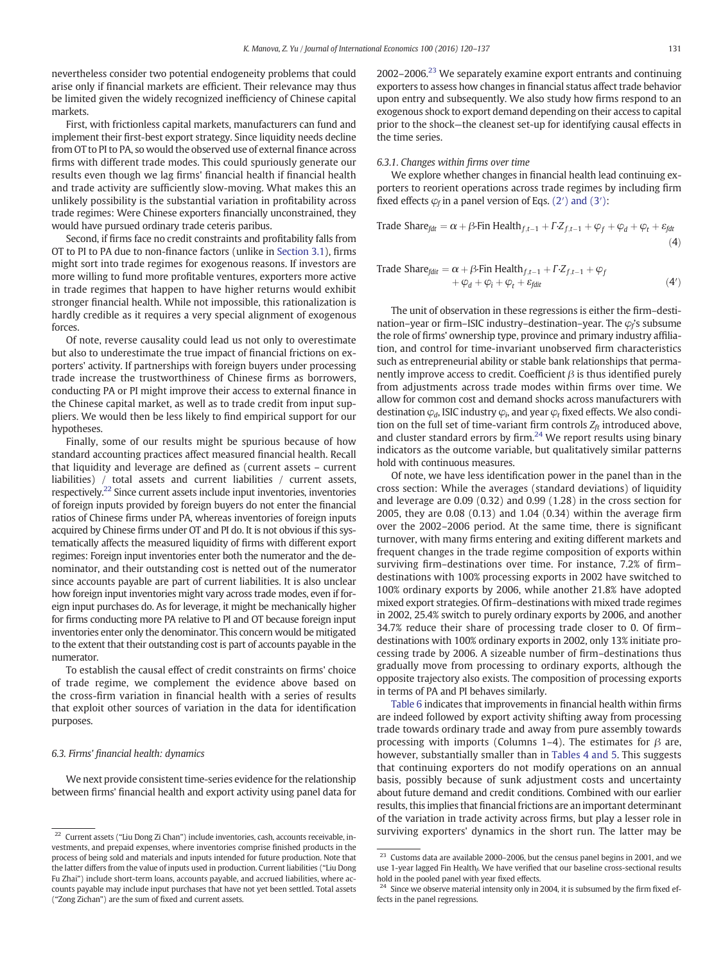<span id="page-11-0"></span>nevertheless consider two potential endogeneity problems that could arise only if financial markets are efficient. Their relevance may thus be limited given the widely recognized inefficiency of Chinese capital markets.

First, with frictionless capital markets, manufacturers can fund and implement their first-best export strategy. Since liquidity needs decline from OT to PI to PA, so would the observed use of external finance across firms with different trade modes. This could spuriously generate our results even though we lag firms' financial health if financial health and trade activity are sufficiently slow-moving. What makes this an unlikely possibility is the substantial variation in profitability across trade regimes: Were Chinese exporters financially unconstrained, they would have pursued ordinary trade ceteris paribus.

Second, if firms face no credit constraints and profitability falls from OT to PI to PA due to non-finance factors (unlike in [Section 3.1](#page-3-0)), firms might sort into trade regimes for exogenous reasons. If investors are more willing to fund more profitable ventures, exporters more active in trade regimes that happen to have higher returns would exhibit stronger financial health. While not impossible, this rationalization is hardly credible as it requires a very special alignment of exogenous forces.

Of note, reverse causality could lead us not only to overestimate but also to underestimate the true impact of financial frictions on exporters' activity. If partnerships with foreign buyers under processing trade increase the trustworthiness of Chinese firms as borrowers, conducting PA or PI might improve their access to external finance in the Chinese capital market, as well as to trade credit from input suppliers. We would then be less likely to find empirical support for our hypotheses.

Finally, some of our results might be spurious because of how standard accounting practices affect measured financial health. Recall that liquidity and leverage are defined as (current assets – current liabilities) / total assets and current liabilities / current assets, respectively.22 Since current assets include input inventories, inventories of foreign inputs provided by foreign buyers do not enter the financial ratios of Chinese firms under PA, whereas inventories of foreign inputs acquired by Chinese firms under OT and PI do. It is not obvious if this systematically affects the measured liquidity of firms with different export regimes: Foreign input inventories enter both the numerator and the denominator, and their outstanding cost is netted out of the numerator since accounts payable are part of current liabilities. It is also unclear how foreign input inventories might vary across trade modes, even if foreign input purchases do. As for leverage, it might be mechanically higher for firms conducting more PA relative to PI and OT because foreign input inventories enter only the denominator. This concern would be mitigated to the extent that their outstanding cost is part of accounts payable in the numerator.

To establish the causal effect of credit constraints on firms' choice of trade regime, we complement the evidence above based on the cross-firm variation in financial health with a series of results that exploit other sources of variation in the data for identification purposes.

# 6.3. Firms' financial health: dynamics

We next provide consistent time-series evidence for the relationship between firms' financial health and export activity using panel data for  $2002-2006$ <sup>23</sup> We separately examine export entrants and continuing exporters to assess how changes in financial status affect trade behavior upon entry and subsequently. We also study how firms respond to an exogenous shock to export demand depending on their access to capital prior to the shock—the cleanest set-up for identifying causal effects in the time series.

# 6.3.1. Changes within firms over time

We explore whether changes in financial health lead continuing exporters to reorient operations across trade regimes by including firm fixed effects  $\varphi_f$  in a panel version of Eqs. (2'[\) and \(3](#page-9-0)'):

Trade Share<sub>fat</sub> = 
$$
\alpha + \beta
$$
-Fin Health<sub>f,t-1</sub> +  $\Gamma \cdot Z_{f,t-1} + \varphi_f + \varphi_d + \varphi_t + \varepsilon_{fdt}$  (4)

$$
\begin{aligned} \text{Trade Shar}_{\text{fdit}} &= \alpha + \beta \cdot \text{Fin Health}_{f,t-1} + \Gamma \cdot Z_{f,t-1} + \varphi_f \\ &+ \varphi_d + \varphi_i + \varphi_t + \varepsilon_{\text{fdit}} \end{aligned} \tag{4'}
$$

The unit of observation in these regressions is either the firm–destination–year or firm–ISIC industry–destination–year. The  $\varphi$ 's subsume the role of firms' ownership type, province and primary industry affiliation, and control for time-invariant unobserved firm characteristics such as entrepreneurial ability or stable bank relationships that permanently improve access to credit. Coefficient  $\beta$  is thus identified purely from adjustments across trade modes within firms over time. We allow for common cost and demand shocks across manufacturers with destination  $\varphi_d$ , ISIC industry  $\varphi_i$ , and year  $\varphi_t$  fixed effects. We also condition on the full set of time-variant firm controls  $Z_{ft}$  introduced above, and cluster standard errors by firm.<sup>24</sup> We report results using binary indicators as the outcome variable, but qualitatively similar patterns hold with continuous measures.

Of note, we have less identification power in the panel than in the cross section: While the averages (standard deviations) of liquidity and leverage are 0.09 (0.32) and 0.99 (1.28) in the cross section for 2005, they are 0.08 (0.13) and 1.04 (0.34) within the average firm over the 2002–2006 period. At the same time, there is significant turnover, with many firms entering and exiting different markets and frequent changes in the trade regime composition of exports within surviving firm–destinations over time. For instance, 7.2% of firm– destinations with 100% processing exports in 2002 have switched to 100% ordinary exports by 2006, while another 21.8% have adopted mixed export strategies. Of firm–destinations with mixed trade regimes in 2002, 25.4% switch to purely ordinary exports by 2006, and another 34.7% reduce their share of processing trade closer to 0. Of firm– destinations with 100% ordinary exports in 2002, only 13% initiate processing trade by 2006. A sizeable number of firm–destinations thus gradually move from processing to ordinary exports, although the opposite trajectory also exists. The composition of processing exports in terms of PA and PI behaves similarly.

[Table 6](#page-12-0) indicates that improvements in financial health within firms are indeed followed by export activity shifting away from processing trade towards ordinary trade and away from pure assembly towards processing with imports (Columns 1–4). The estimates for  $β$  are, however, substantially smaller than in [Tables 4 and 5](#page-8-0). This suggests that continuing exporters do not modify operations on an annual basis, possibly because of sunk adjustment costs and uncertainty about future demand and credit conditions. Combined with our earlier results, this implies that financial frictions are an important determinant of the variation in trade activity across firms, but play a lesser role in  $\frac{22}{2}$  Current assets ("Liu Dong Zi Chan") include inventories, cash, accounts receivable, in-<br>22 Current assets ("Liu Dong Zi Chan") include inventories, cash, accounts receivable, in-

vestments, and prepaid expenses, where inventories comprise finished products in the process of being sold and materials and inputs intended for future production. Note that the latter differs from the value of inputs used in production. Current liabilities ("Liu Dong Fu Zhai") include short-term loans, accounts payable, and accrued liabilities, where accounts payable may include input purchases that have not yet been settled. Total assets ("Zong Zichan") are the sum of fixed and current assets.

<sup>&</sup>lt;sup>23</sup> Customs data are available 2000–2006, but the census panel begins in 2001, and we use 1-year lagged Fin Health $_f$ . We have verified that our baseline cross-sectional results hold in the pooled panel with year fixed effects.

 $24$  Since we observe material intensity only in 2004, it is subsumed by the firm fixed effects in the panel regressions.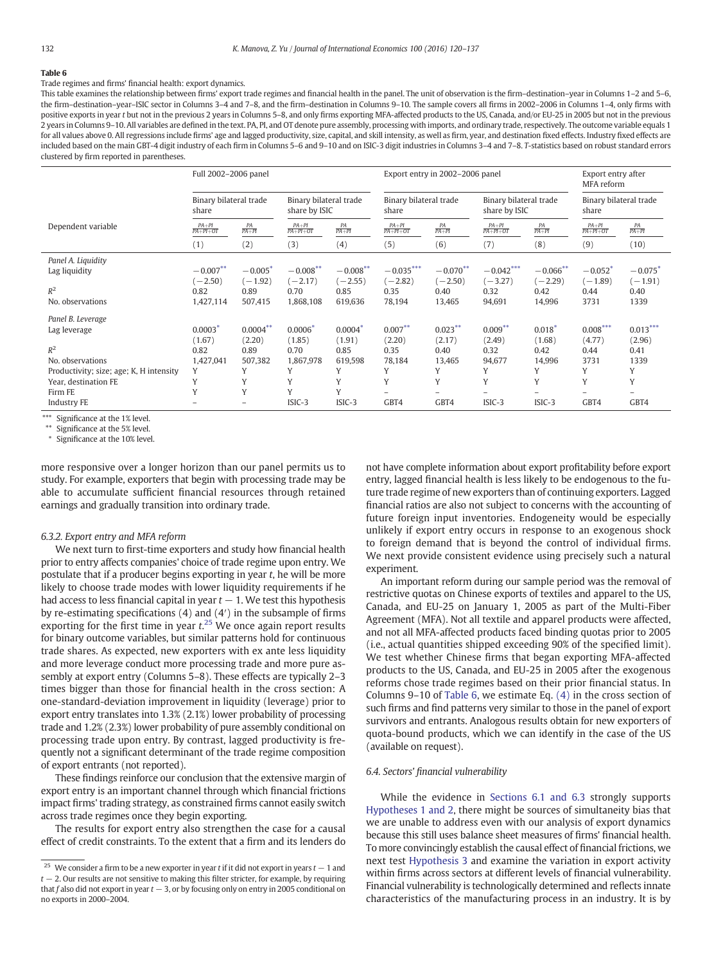<span id="page-12-0"></span>Trade regimes and firms' financial health: export dynamics.

This table examines the relationship between firms' export trade regimes and financial health in the panel. The unit of observation is the firm–destination–year in Columns 1–2 and 5–6, the firm–destination–year–ISIC sector in Columns 3–4 and 7–8, and the firm–destination in Columns 9–10. The sample covers all firms in 2002–2006 in Columns 1–4, only firms with positive exports in year t but not in the previous 2 years in Columns 5-8, and only firms exporting MFA-affected products to the US, Canada, and/or EU-25 in 2005 but not in the previous 2 years in Columns 9–10. All variables are defined in the text. PA, PI, and OT denote pure assembly, processing with imports, and ordinary trade, respectively. The outcome variable equals 1 for all values above 0. All regressions include firms' age and lagged productivity, size, capital, and skill intensity, as well as firm, year, and destination fixed effects. Industry fixed effects are included based on the main GBT-4 digit industry of each firm in Columns 5–6 and 9–10 and on ISIC-3 digit industries in Columns 3–4 and 7–8. T-statistics based on robust standard errors clustered by firm reported in parentheses.

|                                                                                                                                                             | Full 2002-2006 panel                                    |                                                              |                                                                   |                                                                 | Export entry in 2002-2006 panel                          |                                                          |                                                              |                                                            | Export entry after<br>MFA reform                       |                                                        |
|-------------------------------------------------------------------------------------------------------------------------------------------------------------|---------------------------------------------------------|--------------------------------------------------------------|-------------------------------------------------------------------|-----------------------------------------------------------------|----------------------------------------------------------|----------------------------------------------------------|--------------------------------------------------------------|------------------------------------------------------------|--------------------------------------------------------|--------------------------------------------------------|
|                                                                                                                                                             | Binary bilateral trade<br>share                         |                                                              | Binary bilateral trade<br>share by ISIC                           |                                                                 | Binary bilateral trade<br>share                          |                                                          | Binary bilateral trade<br>share by ISIC                      |                                                            | Binary bilateral trade<br>share                        |                                                        |
| Dependent variable                                                                                                                                          | $\frac{PA+PI}{PA+PI+OT}$                                | $\frac{PA}{PA+PI}$                                           | $\frac{PA+PI}{PA+PI+OT}$                                          | $\frac{PA}{PA+PI}$                                              | $\frac{PA+PI}{PA+PI+OT}$                                 | $\frac{PA}{PA+PI}$                                       | $\frac{PA+PI}{PA+PI+OT}$                                     | $\frac{PA}{PA+PI}$                                         | $\frac{PA+PI}{PA+PI+OT}$                               | $\frac{PA}{PA+PI}$                                     |
|                                                                                                                                                             | (1)                                                     | (2)                                                          | (3)                                                               | (4)                                                             | (5)                                                      | (6)                                                      | (7)                                                          | (8)                                                        | (9)                                                    | (10)                                                   |
| Panel A. Liquidity<br>Lag liquidity<br>$R^2$<br>No. observations                                                                                            | $-0.007***$<br>$(-2.50)$<br>0.82<br>1,427,114           | $-0.005*$<br>$(-1.92)$<br>0.89<br>507,415                    | $-0.008***$<br>$(-2.17)$<br>0.70<br>1,868,108                     | $-0.008***$<br>$(-2.55)$<br>0.85<br>619,636                     | $-0.035***$<br>$(-2.82)$<br>0.35<br>78,194               | $-0.070**$<br>$(-2.50)$<br>0.40<br>13,465                | $-0.042***$<br>$(-3.27)$<br>0.32<br>94,691                   | $-0.066$ **<br>$(-2.29)$<br>0.42<br>14,996                 | $-0.052$ <sup>*</sup><br>$(-1.89)$<br>0.44<br>3731     | $-0.075*$<br>$(-1.91)$<br>0.40<br>1339                 |
| Panel B. Leverage<br>Lag leverage<br>$R^2$<br>No. observations<br>Productivity; size; age; K, H intensity<br>Year, destination FE<br>Firm FE<br>Industry FE | $0.0003*$<br>(1.67)<br>0.82<br>1,427,041<br>Y<br>Y<br>Y | $0.0004***$<br>(2.20)<br>0.89<br>507,382<br>Y<br>Y<br>Y<br>- | $0.0006*$<br>(1.85)<br>0.70<br>1,867,978<br>Y<br>Y<br>Y<br>ISIC-3 | $0.0004*$<br>(1.91)<br>0.85<br>619,598<br>Y<br>Y<br>Y<br>ISIC-3 | $0.007***$<br>(2.20)<br>0.35<br>78,184<br>Y<br>Y<br>GBT4 | $0.023***$<br>(2.17)<br>0.40<br>13,465<br>Y<br>Y<br>GBT4 | $0.009***$<br>(2.49)<br>0.32<br>94,677<br>Y<br>Y<br>$ISIC-3$ | $0.018*$<br>(1.68)<br>0.42<br>14,996<br>Y<br>Y<br>$ISIC-3$ | $0.008***$<br>(4.77)<br>0.44<br>3731<br>Y<br>Y<br>GBT4 | $0.013***$<br>(2.96)<br>0.41<br>1339<br>Y<br>Y<br>GBT4 |

\*\*\* Significance at the 1% level.

\*\* Significance at the 5% level.

⁎ Significance at the 10% level.

more responsive over a longer horizon than our panel permits us to study. For example, exporters that begin with processing trade may be able to accumulate sufficient financial resources through retained earnings and gradually transition into ordinary trade.

## 6.3.2. Export entry and MFA reform

We next turn to first-time exporters and study how financial health prior to entry affects companies' choice of trade regime upon entry. We postulate that if a producer begins exporting in year t, he will be more likely to choose trade modes with lower liquidity requirements if he had access to less financial capital in year  $t - 1$ . We test this hypothesis by re-estimating specifications  $(4)$  and  $(4')$  in the subsample of firms exporting for the first time in year  $t$ <sup>25</sup> We once again report results for binary outcome variables, but similar patterns hold for continuous trade shares. As expected, new exporters with ex ante less liquidity and more leverage conduct more processing trade and more pure assembly at export entry (Columns 5–8). These effects are typically 2–3 times bigger than those for financial health in the cross section: A one-standard-deviation improvement in liquidity (leverage) prior to export entry translates into 1.3% (2.1%) lower probability of processing trade and 1.2% (2.3%) lower probability of pure assembly conditional on processing trade upon entry. By contrast, lagged productivity is frequently not a significant determinant of the trade regime composition of export entrants (not reported).

These findings reinforce our conclusion that the extensive margin of export entry is an important channel through which financial frictions impact firms' trading strategy, as constrained firms cannot easily switch across trade regimes once they begin exporting.

The results for export entry also strengthen the case for a causal effect of credit constraints. To the extent that a firm and its lenders do not have complete information about export profitability before export entry, lagged financial health is less likely to be endogenous to the future trade regime of new exporters than of continuing exporters. Lagged financial ratios are also not subject to concerns with the accounting of future foreign input inventories. Endogeneity would be especially unlikely if export entry occurs in response to an exogenous shock to foreign demand that is beyond the control of individual firms. We next provide consistent evidence using precisely such a natural experiment.

An important reform during our sample period was the removal of restrictive quotas on Chinese exports of textiles and apparel to the US, Canada, and EU-25 on January 1, 2005 as part of the Multi-Fiber Agreement (MFA). Not all textile and apparel products were affected, and not all MFA-affected products faced binding quotas prior to 2005 (i.e., actual quantities shipped exceeding 90% of the specified limit). We test whether Chinese firms that began exporting MFA-affected products to the US, Canada, and EU-25 in 2005 after the exogenous reforms chose trade regimes based on their prior financial status. In Columns 9–10 of Table 6, we estimate Eq. [\(4\)](#page-11-0) in the cross section of such firms and find patterns very similar to those in the panel of export survivors and entrants. Analogous results obtain for new exporters of quota-bound products, which we can identify in the case of the US (available on request).

# 6.4. Sectors' financial vulnerability

While the evidence in [Sections 6.1 and 6.3](#page-8-0) strongly supports [Hypotheses 1 and 2,](#page-4-0) there might be sources of simultaneity bias that we are unable to address even with our analysis of export dynamics because this still uses balance sheet measures of firms' financial health. To more convincingly establish the causal effect of financial frictions, we next test [Hypothesis 3](#page-4-0) and examine the variation in export activity within firms across sectors at different levels of financial vulnerability. Financial vulnerability is technologically determined and reflects innate characteristics of the manufacturing process in an industry. It is by

<sup>&</sup>lt;sup>25</sup> We consider a firm to be a new exporter in year t if it did not export in years  $t - 1$  and  $t - 2$ . Our results are not sensitive to making this filter stricter, for example, by requiring that f also did not export in year  $t - 3$ , or by focusing only on entry in 2005 conditional on no exports in 2000–2004.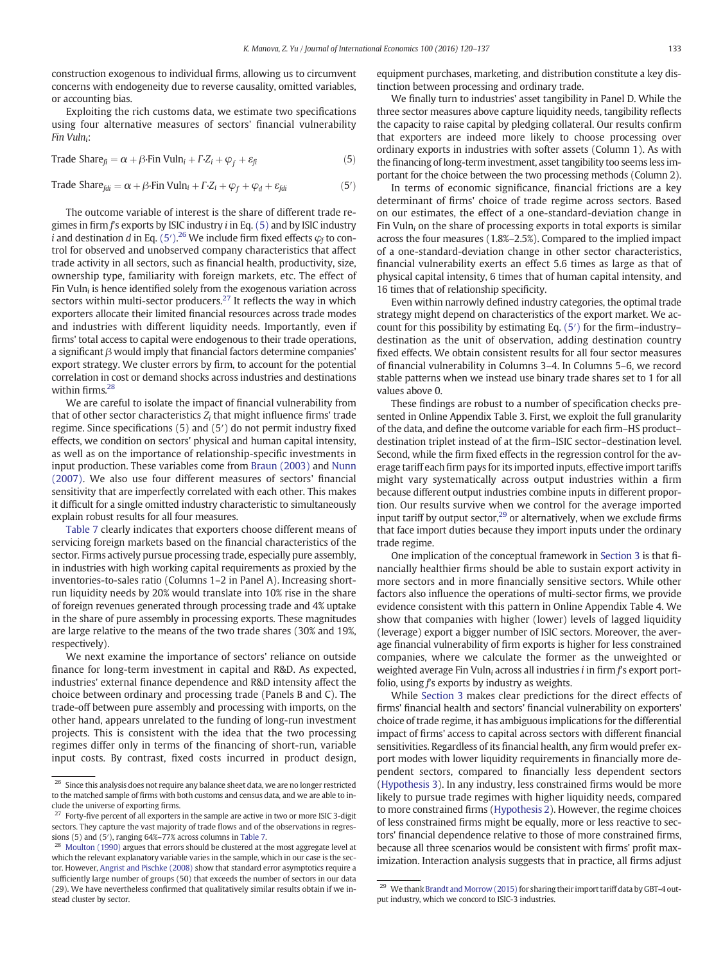construction exogenous to individual firms, allowing us to circumvent concerns with endogeneity due to reverse causality, omitted variables, or accounting bias.

Exploiting the rich customs data, we estimate two specifications using four alternative measures of sectors' financial vulnerability Fin Vulni:

Trade Share $\epsilon_{\rm fi} = \alpha + \beta$ ∙Fin Vuln<sub>i</sub> +  $\Gamma$ ⋅Z<sub>i</sub> +  $\varphi$ <sub>f</sub> +  $\varepsilon$ <sub>fi</sub> (5)

Trade Share<sub>fdi</sub> =  $\alpha + \beta$ ∙Fin Vuln<sub>i</sub> + Γ⋅Z<sub>i</sub> +  $\varphi_f + \varphi_d + \varepsilon_{fdi}$  (5′)

The outcome variable of interest is the share of different trade regimes in firm  $f$ s exports by ISIC industry  $i$  in Eq. (5) and by ISIC industry  $i$  and destination  $d$  in Eq. (5′). $^{26}$  We include firm fixed effects  $\varphi_f$  to control for observed and unobserved company characteristics that affect trade activity in all sectors, such as financial health, productivity, size, ownership type, familiarity with foreign markets, etc. The effect of Fin Vuln $<sub>i</sub>$  is hence identified solely from the exogenous variation across</sub> sectors within multi-sector producers.<sup>27</sup> It reflects the way in which exporters allocate their limited financial resources across trade modes and industries with different liquidity needs. Importantly, even if firms' total access to capital were endogenous to their trade operations, a significant  $\beta$  would imply that financial factors determine companies' export strategy. We cluster errors by firm, to account for the potential correlation in cost or demand shocks across industries and destinations within firms.<sup>28</sup>

We are careful to isolate the impact of financial vulnerability from that of other sector characteristics  $Z_i$  that might influence firms' trade regime. Since specifications (5) and (5′) do not permit industry fixed effects, we condition on sectors' physical and human capital intensity, as well as on the importance of relationship-specific investments in input production. These variables come from [Braun \(2003\)](#page-16-0) and [Nunn](#page-17-0) [\(2007\)](#page-17-0). We also use four different measures of sectors' financial sensitivity that are imperfectly correlated with each other. This makes it difficult for a single omitted industry characteristic to simultaneously explain robust results for all four measures.

[Table 7](#page-14-0) clearly indicates that exporters choose different means of servicing foreign markets based on the financial characteristics of the sector. Firms actively pursue processing trade, especially pure assembly, in industries with high working capital requirements as proxied by the inventories-to-sales ratio (Columns 1–2 in Panel A). Increasing shortrun liquidity needs by 20% would translate into 10% rise in the share of foreign revenues generated through processing trade and 4% uptake in the share of pure assembly in processing exports. These magnitudes are large relative to the means of the two trade shares (30% and 19%, respectively).

We next examine the importance of sectors' reliance on outside finance for long-term investment in capital and R&D. As expected, industries' external finance dependence and R&D intensity affect the choice between ordinary and processing trade (Panels B and C). The trade-off between pure assembly and processing with imports, on the other hand, appears unrelated to the funding of long-run investment projects. This is consistent with the idea that the two processing regimes differ only in terms of the financing of short-run, variable input costs. By contrast, fixed costs incurred in product design, equipment purchases, marketing, and distribution constitute a key distinction between processing and ordinary trade.

We finally turn to industries' asset tangibility in Panel D. While the three sector measures above capture liquidity needs, tangibility reflects the capacity to raise capital by pledging collateral. Our results confirm that exporters are indeed more likely to choose processing over ordinary exports in industries with softer assets (Column 1). As with the financing of long-term investment, asset tangibility too seems less important for the choice between the two processing methods (Column 2).

In terms of economic significance, financial frictions are a key determinant of firms' choice of trade regime across sectors. Based on our estimates, the effect of a one-standard-deviation change in Fin Vuln $_i$  on the share of processing exports in total exports is similar across the four measures (1.8%–2.5%). Compared to the implied impact of a one-standard-deviation change in other sector characteristics, financial vulnerability exerts an effect 5.6 times as large as that of physical capital intensity, 6 times that of human capital intensity, and 16 times that of relationship specificity.

Even within narrowly defined industry categories, the optimal trade strategy might depend on characteristics of the export market. We account for this possibility by estimating Eq. (5′) for the firm–industry– destination as the unit of observation, adding destination country fixed effects. We obtain consistent results for all four sector measures of financial vulnerability in Columns 3–4. In Columns 5–6, we record stable patterns when we instead use binary trade shares set to 1 for all values above 0.

These findings are robust to a number of specification checks presented in Online Appendix Table 3. First, we exploit the full granularity of the data, and define the outcome variable for each firm–HS product– destination triplet instead of at the firm–ISIC sector–destination level. Second, while the firm fixed effects in the regression control for the average tariff each firm pays for its imported inputs, effective import tariffs might vary systematically across output industries within a firm because different output industries combine inputs in different proportion. Our results survive when we control for the average imported input tariff by output sector, $^{29}$  or alternatively, when we exclude firms that face import duties because they import inputs under the ordinary trade regime.

One implication of the conceptual framework in [Section 3](#page-2-0) is that financially healthier firms should be able to sustain export activity in more sectors and in more financially sensitive sectors. While other factors also influence the operations of multi-sector firms, we provide evidence consistent with this pattern in Online Appendix Table 4. We show that companies with higher (lower) levels of lagged liquidity (leverage) export a bigger number of ISIC sectors. Moreover, the average financial vulnerability of firm exports is higher for less constrained companies, where we calculate the former as the unweighted or weighted average Fin Vuln<sub>i</sub> across all industries *i* in firm  $f$ s export portfolio, using  $f$ s exports by industry as weights.

While [Section 3](#page-2-0) makes clear predictions for the direct effects of firms' financial health and sectors' financial vulnerability on exporters' choice of trade regime, it has ambiguous implications for the differential impact of firms' access to capital across sectors with different financial sensitivities. Regardless of its financial health, any firm would prefer export modes with lower liquidity requirements in financially more dependent sectors, compared to financially less dependent sectors [\(Hypothesis 3\)](#page-4-0). In any industry, less constrained firms would be more likely to pursue trade regimes with higher liquidity needs, compared to more constrained firms [\(Hypothesis 2\)](#page-4-0). However, the regime choices of less constrained firms might be equally, more or less reactive to sectors' financial dependence relative to those of more constrained firms, because all three scenarios would be consistent with firms' profit maximization. Interaction analysis suggests that in practice, all firms adjust

 $^{26}\,$  Since this analysis does not require any balance sheet data, we are no longer restricted to the matched sample of firms with both customs and census data, and we are able to include the universe of exporting firms.

 $27$  Forty-five percent of all exporters in the sample are active in two or more ISIC 3-digit sectors. They capture the vast majority of trade flows and of the observations in regressions (5) and (5′), ranging 64%–77% across columns in [Table 7.](#page-14-0)

[Moulton \(1990\)](#page-17-0) argues that errors should be clustered at the most aggregate level at which the relevant explanatory variable varies in the sample, which in our case is the sector. However, [Angrist and Pischke \(2008\)](#page-16-0) show that standard error asymptotics require a sufficiently large number of groups (50) that exceeds the number of sectors in our data (29). We have nevertheless confirmed that qualitatively similar results obtain if we instead cluster by sector.

<sup>&</sup>lt;sup>29</sup> We thank [Brandt and Morrow \(2015\)](#page-16-0) for sharing their import tariff data by GBT-4 output industry, which we concord to ISIC-3 industries.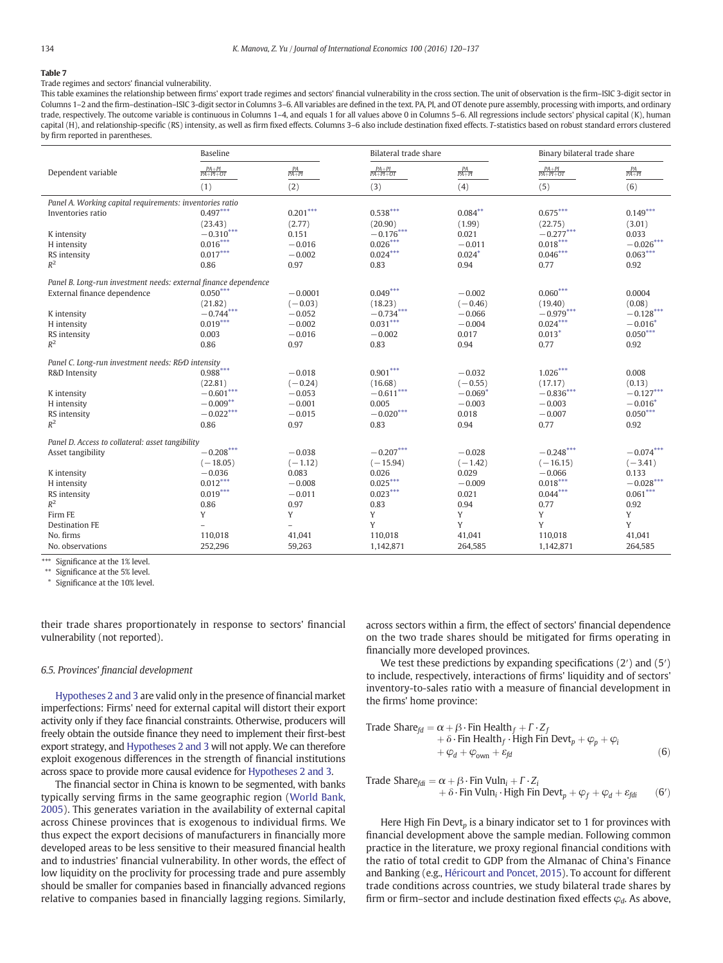# <span id="page-14-0"></span>Trade regimes and sectors' financial vulnerability.

This table examines the relationship between firms' export trade regimes and sectors' financial vulnerability in the cross section. The unit of observation is the firm-ISIC 3-digit sector in Columns 1–2 and the firm–destination–ISIC 3-digit sector in Columns 3–6. All variables are defined in the text. PA, PI, and OT denote pure assembly, processing with imports, and ordinary trade, respectively. The outcome variable is continuous in Columns 1–4, and equals 1 for all values above 0 in Columns 5–6. All regressions include sectors' physical capital (K), human capital (H), and relationship-specific (RS) intensity, as well as firm fixed effects. Columns 3–6 also include destination fixed effects. T-statistics based on robust standard errors clustered by firm reported in parentheses.

| Baseline                                                        |                          |                 | Bilateral trade share    |                 | Binary bilateral trade share |                 |  |
|-----------------------------------------------------------------|--------------------------|-----------------|--------------------------|-----------------|------------------------------|-----------------|--|
| Dependent variable                                              | $\frac{PA+PI}{PA+PI+OT}$ | PA<br>$PA + PI$ | $\frac{PA+PI}{PA+PI+OT}$ | PA<br>$PA + PI$ | $PA + PI$<br>$PA + PI + OT$  | PA<br>$PA + PI$ |  |
|                                                                 | (1)                      | (2)             | (3)                      | (4)             | (5)                          | (6)             |  |
| Panel A. Working capital requirements: inventories ratio        |                          |                 |                          |                 |                              |                 |  |
| Inventories ratio                                               | $0.497***$               | $0.201***$      | $0.538***$               | $0.084***$      | $0.675***$                   | $0.149***$      |  |
|                                                                 | (23.43)                  | (2.77)          | (20.90)                  | (1.99)          | (22.75)                      | (3.01)          |  |
| K intensity                                                     | $-0.310***$              | 0.151           | $-0.176***$              | 0.021           | $-0.277***$                  | 0.033           |  |
| H intensity                                                     | $0.016^{\ast\ast\ast}$   | $-0.016$        | $0.026^{***}$            | $-0.011$        | $0.018***$                   | $-0.026***$     |  |
| RS intensity                                                    | $0.017^{\ast\ast\ast}$   | $-0.002$        | $0.024***$               | $0.024*$        | $0.046^{***}\,$              | $0.063***$      |  |
| $R^2$                                                           | 0.86                     | 0.97            | 0.83                     | 0.94            | 0.77                         | 0.92            |  |
| Panel B. Long-run investment needs: external finance dependence |                          |                 |                          |                 |                              |                 |  |
| External finance dependence                                     | $0.050***$               | $-0.0001$       | $0.049***$               | $-0.002$        | $0.060***$                   | 0.0004          |  |
|                                                                 | (21.82)                  | $(-0.03)$       | (18.23)                  | $(-0.46)$       | (19.40)                      | (0.08)          |  |
| K intensity                                                     | $-0.744***$              | $-0.052$        | $-0.734***$              | $-0.066$        | $-0.979***$                  | $-0.128***$     |  |
| H intensity                                                     | $0.019***$               | $-0.002$        | $0.031^{***}$            | $-0.004$        | $0.024***$                   | $-0.016*$       |  |
| RS intensity                                                    | 0.003                    | $-0.016$        | $-0.002$                 | 0.017           | $0.013*$                     | $0.050***$      |  |
| $R^2$                                                           | 0.86                     | 0.97            | 0.83                     | 0.94            | 0.77                         | 0.92            |  |
| Panel C. Long-run investment needs: R&D intensity               |                          |                 |                          |                 |                              |                 |  |
| R&D Intensity                                                   | $0.988***$               | $-0.018$        | $0.901***$               | $-0.032$        | $1.026***$                   | 0.008           |  |
|                                                                 | (22.81)                  | $(-0.24)$       | (16.68)                  | $(-0.55)$       | (17.17)                      | (0.13)          |  |
| K intensity                                                     | $-0.601***$              | $-0.053$        | $-0.611***$              | $-0.069*$       | $-0.836***$                  | $-0.127***$     |  |
| H intensity                                                     | $-0.009***$              | $-0.001$        | 0.005                    | $-0.003$        | $-0.003$                     | $-0.016*$       |  |
| RS intensity                                                    | $-0.022***$              | $-0.015$        | $-0.020***$              | 0.018           | $-0.007$                     | $0.050***$      |  |
| $R^2$                                                           | 0.86                     | 0.97            | 0.83                     | 0.94            | 0.77                         | 0.92            |  |
| Panel D. Access to collateral: asset tangibility                |                          |                 |                          |                 |                              |                 |  |
| Asset tangibility                                               | $-0.208***$              | $-0.038$        | $-0.207***$              | $-0.028$        | $-0.248***$                  | $-0.074***$     |  |
|                                                                 | $(-18.05)$               | $(-1.12)$       | $(-15.94)$               | $(-1.42)$       | $(-16.15)$                   | $(-3.41)$       |  |
| K intensity                                                     | $-0.036$                 | 0.083           | 0.026                    | 0.029           | $-0.066$                     | 0.133           |  |
| H intensity                                                     | $0.012***$               | $-0.008$        | $0.025***$               | $-0.009$        | $0.018***$                   | $-0.028***$     |  |
| RS intensity                                                    | $0.019***$               | $-0.011$        | $0.023***$               | 0.021           | $0.044***$                   | $0.061***$      |  |
| $R^2$                                                           | 0.86                     | 0.97            | 0.83                     | 0.94            | 0.77                         | 0.92            |  |
| Firm FE                                                         | Y                        | Y               | Y                        | Y               | Y                            | Y               |  |
| <b>Destination FE</b>                                           |                          |                 | Y                        | Y               | Y                            | Y               |  |
| No. firms                                                       | 110,018                  | 41,041          | 110,018                  | 41,041          | 110,018                      | 41,041          |  |
| No. observations                                                | 252,296                  | 59,263          | 1,142,871                | 264,585         | 1,142,871                    | 264,585         |  |

\*\*\* Significance at the 1% level.

Significance at the 5% level.

⁎ Significance at the 10% level.

their trade shares proportionately in response to sectors' financial vulnerability (not reported).

# 6.5. Provinces' financial development

[Hypotheses 2 and 3](#page-4-0) are valid only in the presence of financial market imperfections: Firms' need for external capital will distort their export activity only if they face financial constraints. Otherwise, producers will freely obtain the outside finance they need to implement their first-best export strategy, and [Hypotheses 2 and 3](#page-4-0) will not apply. We can therefore exploit exogenous differences in the strength of financial institutions across space to provide more causal evidence for [Hypotheses 2 and 3](#page-4-0).

The financial sector in China is known to be segmented, with banks typically serving firms in the same geographic region ([World Bank,](#page-17-0) [2005](#page-17-0)). This generates variation in the availability of external capital across Chinese provinces that is exogenous to individual firms. We thus expect the export decisions of manufacturers in financially more developed areas to be less sensitive to their measured financial health and to industries' financial vulnerability. In other words, the effect of low liquidity on the proclivity for processing trade and pure assembly should be smaller for companies based in financially advanced regions relative to companies based in financially lagging regions. Similarly,

across sectors within a firm, the effect of sectors' financial dependence on the two trade shares should be mitigated for firms operating in financially more developed provinces.

We test these predictions by expanding specifications (2<sup>'</sup>) and (5<sup>'</sup>) to include, respectively, interactions of firms' liquidity and of sectors' inventory-to-sales ratio with a measure of financial development in the firms' home province:

Trade Share<sub>fd</sub> = 
$$
\alpha + \beta \cdot \text{Fin Health}_f + \Gamma \cdot Z_f
$$
  
+  $\delta \cdot \text{Fin Health}_f \cdot \text{High Fin Devt}_p + \varphi_p + \varphi_i$   
+  $\varphi_d + \varphi_{own} + \varepsilon_{fd}$  (6)

Trade Shar
$$
e_{fdi} = \alpha + \beta \cdot \text{Fin Vuln}_i + \Gamma \cdot Z_i
$$
  
+  $\delta \cdot \text{Fin Vuln}_i \cdot \text{High Fin Devt}_p + \varphi_f + \varphi_d + \varepsilon_{fdi}$  (6')

Here High Fin Devt<sub>n</sub> is a binary indicator set to 1 for provinces with financial development above the sample median. Following common practice in the literature, we proxy regional financial conditions with the ratio of total credit to GDP from the Almanac of China's Finance and Banking (e.g., [Héricourt and Poncet, 2015\)](#page-16-0). To account for different trade conditions across countries, we study bilateral trade shares by firm or firm–sector and include destination fixed effects  $\varphi_d$ . As above,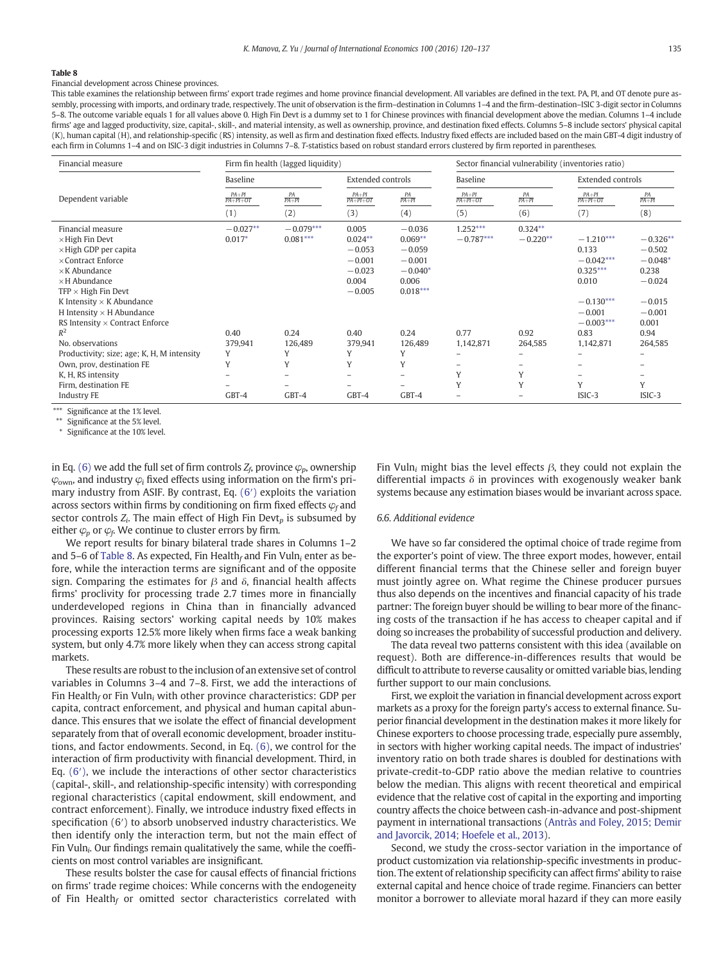#### <span id="page-15-0"></span>Financial development across Chinese provinces.

This table examines the relationship between firms' export trade regimes and home province financial development. All variables are defined in the text. PA, PI, and OT denote pure assembly, processing with imports, and ordinary trade, respectively. The unit of observation is the firm-destination in Columns 1-4 and the firm-destination-ISIC 3-digit sector in Columns 5–8. The outcome variable equals 1 for all values above 0. High Fin Devt is a dummy set to 1 for Chinese provinces with financial development above the median. Columns 1–4 include firms' age and lagged productivity, size, capital-, skill-, and material intensity, as well as ownership, province, and destination fixed effects. Columns 5–8 include sectors' physical capital (K), human capital (H), and relationship-specific (RS) intensity, as well as firm and destination fixed effects. Industry fixed effects are included based on the main GBT-4 digit industry of each firm in Columns 1–4 and on ISIC-3 digit industries in Columns 7–8. T-statistics based on robust standard errors clustered by firm reported in parentheses.

| Financial measure                                                                                                                                                                                                                                              |                                      | Firm fin health (lagged liquidity) |                                                                             |                                                                                   | Sector financial vulnerability (inventories ratio) |                           |                                                                                       |                                                                                  |  |
|----------------------------------------------------------------------------------------------------------------------------------------------------------------------------------------------------------------------------------------------------------------|--------------------------------------|------------------------------------|-----------------------------------------------------------------------------|-----------------------------------------------------------------------------------|----------------------------------------------------|---------------------------|---------------------------------------------------------------------------------------|----------------------------------------------------------------------------------|--|
|                                                                                                                                                                                                                                                                | Baseline                             |                                    |                                                                             | <b>Extended controls</b>                                                          |                                                    | Baseline                  |                                                                                       | <b>Extended controls</b>                                                         |  |
| Dependent variable                                                                                                                                                                                                                                             | $PA+PI$<br>$PA + PI + OT$            | PA<br>$PA + PI$                    | $\frac{PA+PI}{PA+PI+OT}$                                                    | $\frac{PA}{PA+PI}$                                                                | $PA+PI$<br>$PA + PI + OT$                          | $\frac{PA}{PA+PI}$        | $\frac{PA+PI}{PA+PI+OT}$                                                              | $\frac{PA}{PA+PI}$                                                               |  |
|                                                                                                                                                                                                                                                                | (1)                                  | (2)                                | (3)                                                                         | (4)                                                                               | (5)                                                | (6)                       | (7)                                                                                   | (8)                                                                              |  |
| Financial measure<br>$\times$ High Fin Devt<br>$\times$ High GDP per capita<br>$\times$ Contract Enforce<br>$\times$ K Abundance<br>$\times$ H Abundance<br>$TFP \times High Fin Devt$<br>K Intensity $\times$ K Abundance<br>H Intensity $\times$ H Abundance | $-0.027**$<br>$0.017*$               | $-0.079***$<br>$0.081***$          | 0.005<br>$0.024**$<br>$-0.053$<br>$-0.001$<br>$-0.023$<br>0.004<br>$-0.005$ | $-0.036$<br>$0.069**$<br>$-0.059$<br>$-0.001$<br>$-0.040*$<br>0.006<br>$0.018***$ | $1.252***$<br>$-0.787***$                          | $0.324**$<br>$-0.220**$   | $-1.210***$<br>0.133<br>$-0.042***$<br>$0.325***$<br>0.010<br>$-0.130***$<br>$-0.001$ | $-0.326**$<br>$-0.502$<br>$-0.048*$<br>0.238<br>$-0.024$<br>$-0.015$<br>$-0.001$ |  |
| RS Intensity $\times$ Contract Enforce<br>$R^2$<br>No. observations<br>Productivity; size; age; K, H, M intensity<br>Own, prov, destination FE<br>K, H, RS intensity<br>Firm, destination FE<br>Industry FE                                                    | 0.40<br>379,941<br>Y<br>Y<br>$GBT-4$ | 0.24<br>126,489<br>Y<br>Y<br>GBT-4 | 0.40<br>379,941<br>Y<br>Y<br>GBT-4                                          | 0.24<br>126,489<br>Υ<br>Y<br>-<br>GBT-4                                           | 0.77<br>1,142,871<br>Y<br>Y<br>$\qquad \qquad =$   | 0.92<br>264,585<br>Y<br>Y | $-0.003***$<br>0.83<br>1,142,871<br>Y<br>ISIC-3                                       | 0.001<br>0.94<br>264,585<br>-<br>Y<br>ISIC-3                                     |  |

Significance at the 1% level.

Significance at the 5% level.

Significance at the 10% level.

in Eq. [\(6\)](#page-14-0) we add the full set of firm controls  $Z_f$ , province  $\varphi_p$ , ownership  $\varphi$ <sub>own</sub>, and industry  $\varphi_i$  fixed effects using information on the firm's primary industry from ASIF. By contrast, Eq. [\(6](#page-14-0)′) exploits the variation across sectors within firms by conditioning on firm fixed effects  $\varphi_f$  and sector controls  $Z_i$ . The main effect of High Fin Devt<sub>p</sub> is subsumed by either  $\varphi$ <sub>p</sub> or  $\varphi$ <sub>f</sub>. We continue to cluster errors by firm.

We report results for binary bilateral trade shares in Columns 1–2 and 5–6 of Table 8. As expected, Fin Health $_f$  and Fin Vuln<sub>i</sub> enter as before, while the interaction terms are significant and of the opposite sign. Comparing the estimates for  $\beta$  and  $\delta$ , financial health affects firms' proclivity for processing trade 2.7 times more in financially underdeveloped regions in China than in financially advanced provinces. Raising sectors' working capital needs by 10% makes processing exports 12.5% more likely when firms face a weak banking system, but only 4.7% more likely when they can access strong capital markets.

These results are robust to the inclusion of an extensive set of control variables in Columns 3–4 and 7–8. First, we add the interactions of Fin Health<sub>f</sub> or Fin Vuln<sub>i</sub> with other province characteristics: GDP per capita, contract enforcement, and physical and human capital abundance. This ensures that we isolate the effect of financial development separately from that of overall economic development, broader institutions, and factor endowments. Second, in Eq. [\(6\),](#page-14-0) we control for the interaction of firm productivity with financial development. Third, in Eq. [\(6](#page-14-0)′), we include the interactions of other sector characteristics (capital-, skill-, and relationship-specific intensity) with corresponding regional characteristics (capital endowment, skill endowment, and contract enforcement). Finally, we introduce industry fixed effects in specification (6') to absorb unobserved industry characteristics. We then identify only the interaction term, but not the main effect of Fin Vuln<sub>i</sub>. Our findings remain qualitatively the same, while the coefficients on most control variables are insignificant.

These results bolster the case for causal effects of financial frictions on firms' trade regime choices: While concerns with the endogeneity of Fin Health $_f$  or omitted sector characteristics correlated with Fin Vuln<sub>i</sub> might bias the level effects  $\beta$ , they could not explain the differential impacts  $\delta$  in provinces with exogenously weaker bank systems because any estimation biases would be invariant across space.

# 6.6. Additional evidence

We have so far considered the optimal choice of trade regime from the exporter's point of view. The three export modes, however, entail different financial terms that the Chinese seller and foreign buyer must jointly agree on. What regime the Chinese producer pursues thus also depends on the incentives and financial capacity of his trade partner: The foreign buyer should be willing to bear more of the financing costs of the transaction if he has access to cheaper capital and if doing so increases the probability of successful production and delivery.

The data reveal two patterns consistent with this idea (available on request). Both are difference-in-differences results that would be difficult to attribute to reverse causality or omitted variable bias, lending further support to our main conclusions.

First, we exploit the variation in financial development across export markets as a proxy for the foreign party's access to external finance. Superior financial development in the destination makes it more likely for Chinese exporters to choose processing trade, especially pure assembly, in sectors with higher working capital needs. The impact of industries' inventory ratio on both trade shares is doubled for destinations with private-credit-to-GDP ratio above the median relative to countries below the median. This aligns with recent theoretical and empirical evidence that the relative cost of capital in the exporting and importing country affects the choice between cash-in-advance and post-shipment payment in international transactions ([Antràs and Foley, 2015; Demir](#page-16-0) [and Javorcik, 2014; Hoefele et al., 2013](#page-16-0)).

Second, we study the cross-sector variation in the importance of product customization via relationship-specific investments in production. The extent of relationship specificity can affect firms' ability to raise external capital and hence choice of trade regime. Financiers can better monitor a borrower to alleviate moral hazard if they can more easily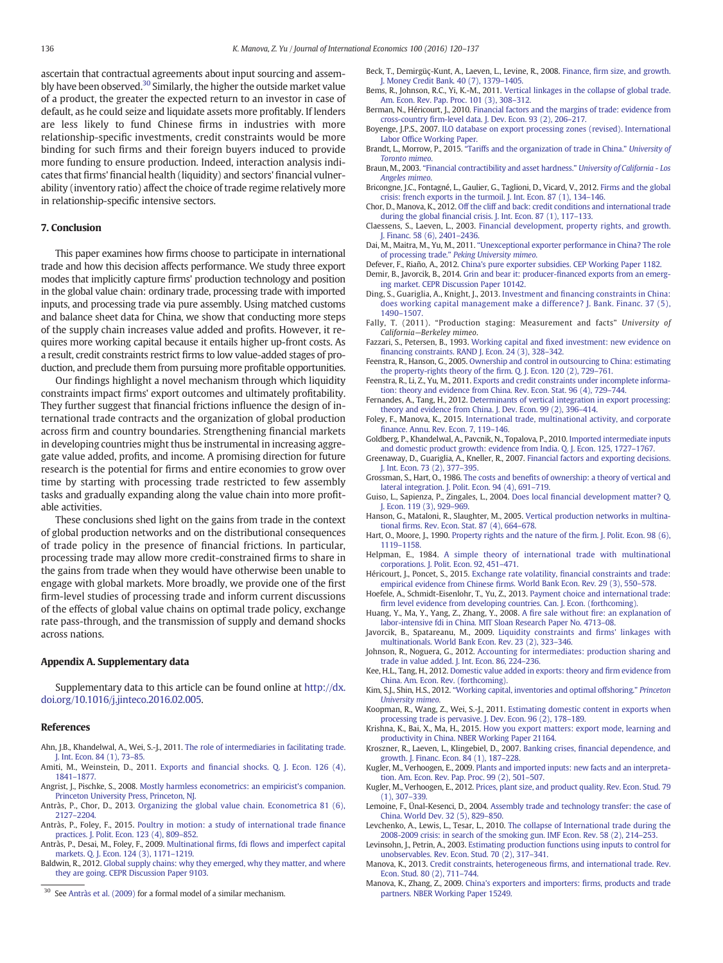<span id="page-16-0"></span>ascertain that contractual agreements about input sourcing and assembly have been observed.<sup>30</sup> Similarly, the higher the outside market value of a product, the greater the expected return to an investor in case of default, as he could seize and liquidate assets more profitably. If lenders are less likely to fund Chinese firms in industries with more relationship-specific investments, credit constraints would be more binding for such firms and their foreign buyers induced to provide more funding to ensure production. Indeed, interaction analysis indicates that firms' financial health (liquidity) and sectors' financial vulnerability (inventory ratio) affect the choice of trade regime relatively more in relationship-specific intensive sectors.

# 7. Conclusion

This paper examines how firms choose to participate in international trade and how this decision affects performance. We study three export modes that implicitly capture firms' production technology and position in the global value chain: ordinary trade, processing trade with imported inputs, and processing trade via pure assembly. Using matched customs and balance sheet data for China, we show that conducting more steps of the supply chain increases value added and profits. However, it requires more working capital because it entails higher up-front costs. As a result, credit constraints restrict firms to low value-added stages of production, and preclude them from pursuing more profitable opportunities.

Our findings highlight a novel mechanism through which liquidity constraints impact firms' export outcomes and ultimately profitability. They further suggest that financial frictions influence the design of international trade contracts and the organization of global production across firm and country boundaries. Strengthening financial markets in developing countries might thus be instrumental in increasing aggregate value added, profits, and income. A promising direction for future research is the potential for firms and entire economies to grow over time by starting with processing trade restricted to few assembly tasks and gradually expanding along the value chain into more profitable activities.

These conclusions shed light on the gains from trade in the context of global production networks and on the distributional consequences of trade policy in the presence of financial frictions. In particular, processing trade may allow more credit-constrained firms to share in the gains from trade when they would have otherwise been unable to engage with global markets. More broadly, we provide one of the first firm-level studies of processing trade and inform current discussions of the effects of global value chains on optimal trade policy, exchange rate pass-through, and the transmission of supply and demand shocks across nations.

# Appendix A. Supplementary data

Supplementary data to this article can be found online at [http://dx.](http://dx.doi.org/10.1016/j.jinteco.2016.02.005) [doi.org/10.1016/j.jinteco.2016.02.005.](http://dx.doi.org/10.1016/j.jinteco.2016.02.005)

#### References

- Ahn, J.B., Khandelwal, A., Wei, S.-J., 2011. [The role of intermediaries in facilitating trade.](http://refhub.elsevier.com/S0022-1996(16)30019-8/rf0005) [J. Int. Econ. 84 \(1\), 73](http://refhub.elsevier.com/S0022-1996(16)30019-8/rf0005)–85.
- Amiti, M., Weinstein, D., 2011. Exports and fi[nancial shocks. Q. J. Econ. 126 \(4\),](http://refhub.elsevier.com/S0022-1996(16)30019-8/rf0010) 1841–[1877.](http://refhub.elsevier.com/S0022-1996(16)30019-8/rf0010)
- Angrist, J., Pischke, S., 2008. [Mostly harmless econometrics: an empiricist's companion.](http://refhub.elsevier.com/S0022-1996(16)30019-8/rf0015) [Princeton University Press, Princeton, NJ](http://refhub.elsevier.com/S0022-1996(16)30019-8/rf0015).
- Antràs, P., Chor, D., 2013. [Organizing the global value chain. Econometrica 81 \(6\),](http://refhub.elsevier.com/S0022-1996(16)30019-8/rf0020) 2127–[2204.](http://refhub.elsevier.com/S0022-1996(16)30019-8/rf0020)
- Antràs, P., Foley, F., 2015. [Poultry in motion: a study of international trade](http://refhub.elsevier.com/S0022-1996(16)30019-8/rf0025) finance [practices. J. Polit. Econ. 123 \(4\), 809](http://refhub.elsevier.com/S0022-1996(16)30019-8/rf0025)–852.
- Antràs, P., Desai, M., Foley, F., 2009. Multinational firms, fdi fl[ows and imperfect capital](http://refhub.elsevier.com/S0022-1996(16)30019-8/rf0030) [markets. Q. J. Econ. 124 \(3\), 1171](http://refhub.elsevier.com/S0022-1996(16)30019-8/rf0030)–1219.
- Baldwin, R., 2012. [Global supply chains: why they emerged, why they matter, and where](http://refhub.elsevier.com/S0022-1996(16)30019-8/rf0035) [they are going. CEPR Discussion Paper 9103](http://refhub.elsevier.com/S0022-1996(16)30019-8/rf0035).
- Beck, T., Demirgüç-Kunt, A., Laeven, L., Levine, R., 2008. Finance, fi[rm size, and growth.](http://refhub.elsevier.com/S0022-1996(16)30019-8/rf0040) [J. Money Credit Bank. 40 \(7\), 1379](http://refhub.elsevier.com/S0022-1996(16)30019-8/rf0040)–1405.
- Bems, R., Johnson, R.C., Yi, K.-M., 2011. [Vertical linkages in the collapse of global trade.](http://refhub.elsevier.com/S0022-1996(16)30019-8/rf0045) [Am. Econ. Rev. Pap. Proc. 101 \(3\), 308](http://refhub.elsevier.com/S0022-1996(16)30019-8/rf0045)–312.
- Berman, N., Héricourt, J., 2010. [Financial factors and the margins of trade: evidence from](http://refhub.elsevier.com/S0022-1996(16)30019-8/rf0050) cross-country fi[rm-level data. J. Dev. Econ. 93 \(2\), 206](http://refhub.elsevier.com/S0022-1996(16)30019-8/rf0050)–217.
- Boyenge, J.P.S., 2007. [ILO database on export processing zones \(revised\). International](http://refhub.elsevier.com/S0022-1996(16)30019-8/rf0055) Labor Offi[ce Working Paper](http://refhub.elsevier.com/S0022-1996(16)30019-8/rf0055).
- Brandt, L., Morrow, P., 2015. "[Tariffs and the organization of trade in China.](http://refhub.elsevier.com/S0022-1996(16)30019-8/rf5555)" University of [Toronto mimeo](http://refhub.elsevier.com/S0022-1996(16)30019-8/rf5555).
- Braun, M., 2003. "[Financial contractibility and asset hardness.](http://refhub.elsevier.com/S0022-1996(16)30019-8/rf8565)" University of California Los [Angeles mimeo](http://refhub.elsevier.com/S0022-1996(16)30019-8/rf8565).
- Bricongne, J.C., Fontagné, L., Gaulier, G., Taglioni, D., Vicard, V., 2012. [Firms and the global](http://refhub.elsevier.com/S0022-1996(16)30019-8/rf0060) [crisis: french exports in the turmoil. J. Int. Econ. 87 \(1\), 134](http://refhub.elsevier.com/S0022-1996(16)30019-8/rf0060)–146.
- Chor, D., Manova, K., 2012. [Off the cliff and back: credit conditions and international trade](http://refhub.elsevier.com/S0022-1996(16)30019-8/rf0065) during the global fi[nancial crisis. J. Int. Econ. 87 \(1\), 117](http://refhub.elsevier.com/S0022-1996(16)30019-8/rf0065)–133.
- Claessens, S., Laeven, L., 2003. [Financial development, property rights, and growth.](http://refhub.elsevier.com/S0022-1996(16)30019-8/rf0070) [J. Financ. 58 \(6\), 2401](http://refhub.elsevier.com/S0022-1996(16)30019-8/rf0070)–2436.
- Dai, M., Maitra, M., Yu, M., 2011. "[Unexceptional exporter performance in China? The role](http://refhub.elsevier.com/S0022-1996(16)30019-8/rf8555) of processing trade." [Peking University mimeo](http://refhub.elsevier.com/S0022-1996(16)30019-8/rf8555).
- Defever, F., Riaño, A., 2012. [China's pure exporter subsidies. CEP Working Paper 1182.](http://refhub.elsevier.com/S0022-1996(16)30019-8/rf0075)
- Demir, B., Javorcik, B., 2014. Grin and bear it: producer-fi[nanced exports from an emerg](http://refhub.elsevier.com/S0022-1996(16)30019-8/rf0080)[ing market. CEPR Discussion Paper 10142.](http://refhub.elsevier.com/S0022-1996(16)30019-8/rf0080)
- Ding, S., Guariglia, A., Knight, J., 2013. Investment and fi[nancing constraints in China:](http://refhub.elsevier.com/S0022-1996(16)30019-8/rf0085) [does working capital management make a difference? J. Bank. Financ. 37 \(5\),](http://refhub.elsevier.com/S0022-1996(16)30019-8/rf0085) 1490–[1507](http://refhub.elsevier.com/S0022-1996(16)30019-8/rf0085).
- Fally, T. (2011). "Production staging: Measurement and facts" University of California—Berkeley mimeo.
- Fazzari, S., Petersen, B., 1993. Working capital and fi[xed investment: new evidence on](http://refhub.elsevier.com/S0022-1996(16)30019-8/rf0090) fi[nancing constraints. RAND J. Econ. 24 \(3\), 328](http://refhub.elsevier.com/S0022-1996(16)30019-8/rf0090)–342.
- Feenstra, R., Hanson, G., 2005. [Ownership and control in outsourcing to China: estimating](http://refhub.elsevier.com/S0022-1996(16)30019-8/rf0095) [the property-rights theory of the](http://refhub.elsevier.com/S0022-1996(16)30019-8/rf0095) firm. Q. J. Econ. 120 (2), 729–761.
- Feenstra, R., Li, Z., Yu, M., 2011. [Exports and credit constraints under incomplete informa](http://refhub.elsevier.com/S0022-1996(16)30019-8/rf0100)[tion: theory and evidence from China. Rev. Econ. Stat. 96 \(4\), 729](http://refhub.elsevier.com/S0022-1996(16)30019-8/rf0100)–744.
- Fernandes, A., Tang, H., 2012. [Determinants of vertical integration in export processing:](http://refhub.elsevier.com/S0022-1996(16)30019-8/rf0105) [theory and evidence from China. J. Dev. Econ. 99 \(2\), 396](http://refhub.elsevier.com/S0022-1996(16)30019-8/rf0105)–414.
- Foley, F., Manova, K., 2015. [International trade, multinational activity, and corporate](http://refhub.elsevier.com/S0022-1996(16)30019-8/rf0110) fi[nance. Annu. Rev. Econ. 7, 119](http://refhub.elsevier.com/S0022-1996(16)30019-8/rf0110)–146.
- Goldberg, P., Khandelwal, A., Pavcnik, N., Topalova, P., 2010. [Imported intermediate inputs](http://refhub.elsevier.com/S0022-1996(16)30019-8/rf0115) [and domestic product growth: evidence from India. Q. J. Econ. 125, 1727](http://refhub.elsevier.com/S0022-1996(16)30019-8/rf0115)–1767.
- Greenaway, D., Guariglia, A., Kneller, R., 2007. [Financial factors and exporting decisions.](http://refhub.elsevier.com/S0022-1996(16)30019-8/rf0120) [J. Int. Econ. 73 \(2\), 377](http://refhub.elsevier.com/S0022-1996(16)30019-8/rf0120)–395.
- Grossman, S., Hart, O., 1986. The costs and benefi[ts of ownership: a theory of vertical and](http://refhub.elsevier.com/S0022-1996(16)30019-8/rf0125) [lateral integration. J. Polit. Econ. 94 \(4\), 691](http://refhub.elsevier.com/S0022-1996(16)30019-8/rf0125)–719.
- Guiso, L., Sapienza, P., Zingales, L., 2004. Does local fi[nancial development matter? Q.](http://refhub.elsevier.com/S0022-1996(16)30019-8/rf0130) [J. Econ. 119 \(3\), 929](http://refhub.elsevier.com/S0022-1996(16)30019-8/rf0130)–969.
- Hanson, G., Mataloni, R., Slaughter, M., 2005. [Vertical production networks in multina](http://refhub.elsevier.com/S0022-1996(16)30019-8/rf0135)tional fi[rms. Rev. Econ. Stat. 87 \(4\), 664](http://refhub.elsevier.com/S0022-1996(16)30019-8/rf0135)–678.
- Hart, O., Moore, J., 1990. [Property rights and the nature of the](http://refhub.elsevier.com/S0022-1996(16)30019-8/rf0140) firm. J. Polit. Econ. 98 (6), 1119–[1158.](http://refhub.elsevier.com/S0022-1996(16)30019-8/rf0140)
- Helpman, E., 1984. [A simple theory of international trade with multinational](http://refhub.elsevier.com/S0022-1996(16)30019-8/rf0145) [corporations. J. Polit. Econ. 92, 451](http://refhub.elsevier.com/S0022-1996(16)30019-8/rf0145)–471.
- Héricourt, J., Poncet, S., 2015. Exchange rate volatility, fi[nancial constraints and trade:](http://refhub.elsevier.com/S0022-1996(16)30019-8/rf0150) empirical evidence from Chinese fi[rms. World Bank Econ. Rev. 29 \(3\), 550](http://refhub.elsevier.com/S0022-1996(16)30019-8/rf0150)–578.
- Hoefele, A., Schmidt-Eisenlohr, T., Yu, Z., 2013. [Payment choice and international trade:](http://refhub.elsevier.com/S0022-1996(16)30019-8/rf0155) fi[rm level evidence from developing countries. Can. J. Econ. \(forthcoming\)](http://refhub.elsevier.com/S0022-1996(16)30019-8/rf0155).
- Huang, Y., Ma, Y., Yang, Z., Zhang, Y., 2008. A fire sale without fi[re: an explanation of](http://refhub.elsevier.com/S0022-1996(16)30019-8/rf9000) [labor-intensive fdi in China. MIT Sloan Research Paper No. 4713](http://refhub.elsevier.com/S0022-1996(16)30019-8/rf9000)–08. Javorcik, B., Spatareanu, M., 2009. [Liquidity constraints and](http://refhub.elsevier.com/S0022-1996(16)30019-8/rf0160) firms' linkages with
- [multinationals. World Bank Econ. Rev. 23 \(2\), 323](http://refhub.elsevier.com/S0022-1996(16)30019-8/rf0160)–346. Johnson, R., Noguera, G., 2012. [Accounting for intermediates: production sharing and](http://refhub.elsevier.com/S0022-1996(16)30019-8/rf0165)
- [trade in value added. J. Int. Econ. 86, 224](http://refhub.elsevier.com/S0022-1996(16)30019-8/rf0165)–236.
- Kee, H.L., Tang, H., 2012. [Domestic value added in exports: theory and](http://refhub.elsevier.com/S0022-1996(16)30019-8/rf0170) firm evidence from [China. Am. Econ. Rev. \(forthcoming\)](http://refhub.elsevier.com/S0022-1996(16)30019-8/rf0170). Kim, S.J., Shin, H.S., 2012. "[Working capital, inventories and optimal offshoring.](http://refhub.elsevier.com/S0022-1996(16)30019-8/rf9055)" Princeton
- [University mimeo](http://refhub.elsevier.com/S0022-1996(16)30019-8/rf9055).
- Koopman, R., Wang, Z., Wei, S.-J., 2011. [Estimating domestic content in exports when](http://refhub.elsevier.com/S0022-1996(16)30019-8/rf0175) [processing trade is pervasive. J. Dev. Econ. 96 \(2\), 178](http://refhub.elsevier.com/S0022-1996(16)30019-8/rf0175)–189.
- Krishna, K., Bai, X., Ma, H., 2015. [How you export matters: export mode, learning and](http://refhub.elsevier.com/S0022-1996(16)30019-8/rf0180) [productivity in China. NBER Working Paper 21164](http://refhub.elsevier.com/S0022-1996(16)30019-8/rf0180).
- Kroszner, R., Laeven, L., Klingebiel, D., 2007. Banking crises, fi[nancial dependence, and](http://refhub.elsevier.com/S0022-1996(16)30019-8/rf0185) [growth. J. Financ. Econ. 84 \(1\), 187](http://refhub.elsevier.com/S0022-1996(16)30019-8/rf0185)–228.
- Kugler, M., Verhoogen, E., 2009. [Plants and imported inputs: new facts and an interpreta](http://refhub.elsevier.com/S0022-1996(16)30019-8/rf0190)[tion. Am. Econ. Rev. Pap. Proc. 99 \(2\), 501](http://refhub.elsevier.com/S0022-1996(16)30019-8/rf0190)–507.
- Kugler, M., Verhoogen, E., 2012. [Prices, plant size, and product quality. Rev. Econ. Stud. 79](http://refhub.elsevier.com/S0022-1996(16)30019-8/rf0195) [\(1\), 307](http://refhub.elsevier.com/S0022-1996(16)30019-8/rf0195)–339.
- Lemoine, F., Ünal-Kesenci, D., 2004. [Assembly trade and technology transfer: the case of](http://refhub.elsevier.com/S0022-1996(16)30019-8/rf0200) [China. World Dev. 32 \(5\), 829](http://refhub.elsevier.com/S0022-1996(16)30019-8/rf0200)–850.
- Levchenko, A., Lewis, L., Tesar, L., 2010. [The collapse of International trade during the](http://refhub.elsevier.com/S0022-1996(16)30019-8/rf0205) [2008-2009 crisis: in search of the smoking gun. IMF Econ. Rev. 58 \(2\), 214](http://refhub.elsevier.com/S0022-1996(16)30019-8/rf0205)–253.
- Levinsohn, J., Petrin, A., 2003. [Estimating production functions using inputs to control for](http://refhub.elsevier.com/S0022-1996(16)30019-8/rf0210) [unobservables. Rev. Econ. Stud. 70 \(2\), 317](http://refhub.elsevier.com/S0022-1996(16)30019-8/rf0210)–341.
- Manova, K., 2013. [Credit constraints, heterogeneous](http://refhub.elsevier.com/S0022-1996(16)30019-8/rf0215) firms, and international trade. Rev. [Econ. Stud. 80 \(2\), 711](http://refhub.elsevier.com/S0022-1996(16)30019-8/rf0215)–744.
- Manova, K., Zhang, Z., 2009. [China's exporters and importers:](http://refhub.elsevier.com/S0022-1996(16)30019-8/rf0220) firms, products and trade

[partners. NBER Working Paper 15249.](http://refhub.elsevier.com/S0022-1996(16)30019-8/rf0220) <sup>30</sup> See Antràs et al. (2009) for a formal model of a similar mechanism.